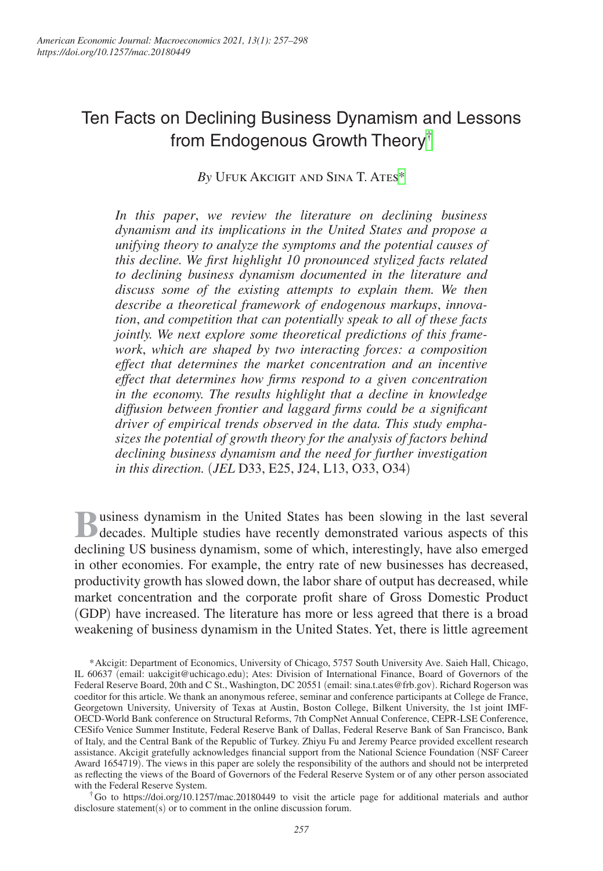# Ten Facts on Declining Business Dynamism and Lessons from Endogenous Growth Theory[†](#page-0-0)

*By* Ufuk Akcigit and Sina T. Ate[s\\*](#page-0-1)

*In this paper*, *we review the literature on declining business dynamism and its implications in the United States and propose a unifying theory to analyze the symptoms and the potential causes of this decline. We first highlight 10 pronounced stylized facts related to declining business dynamism documented in the literature and discuss some of the existing attempts to explain them. We then describe a theoretical framework of endogenous markups*, *innovation*, *and competition that can potentially speak to all of these facts jointly. We next explore some theoretical predictions of this framework*, *which are shaped by two interacting forces: a composition effect that determines the market concentration and an incentive effect that determines how firms respond to a given concentration in the economy. The results highlight that a decline in knowledge diffusion between frontier and laggard firms could be a significant driver of empirical trends observed in the data. This study emphasizes the potential of growth theory for the analysis of factors behind declining business dynamism and the need for further investigation in this direction.* (*JEL* D33, E25, J24, L13, O33, O34)

**B**usiness dynamism in the United States has been slowing in the last several decades. Multiple studies have recently demonstrated various aspects of this declining US business dynamism, some of which, interestingly, have also emerged in other economies. For example, the entry rate of new businesses has decreased, productivity growth has slowed down, the labor share of output has decreased, while market concentration and the corporate profit share of Gross Domestic Product (GDP) have increased. The literature has more or less agreed that there is a broad weakening of business dynamism in the United States. Yet, there is little agreement

<span id="page-0-1"></span>\*Akcigit: Department of Economics, University of Chicago, 5757 South University Ave. Saieh Hall, Chicago, IL 60637 (email: [uakcigit@uchicago.edu](mailto:uakcigit@uchicago.edu)); Ates: Division of International Finance, Board of Governors of the Federal Reserve Board, 20th and C St., Washington, DC 20551 (email: [sina.t.ates@frb.gov](mailto:sina.t.ates@frb.gov)). Richard Rogerson was coeditor for this article. We thank an anonymous referee, seminar and conference participants at College de France, Georgetown University, University of Texas at Austin, Boston College, Bilkent University, the 1st joint IMF-OECD-World Bank conference on Structural Reforms, 7th CompNet Annual Conference, CEPR-LSE Conference, CESifo Venice Summer Institute, Federal Reserve Bank of Dallas, Federal Reserve Bank of San Francisco, Bank of Italy, and the Central Bank of the Republic of Turkey. Zhiyu Fu and Jeremy Pearce provided excellent research assistance. Akcigit gratefully acknowledges financial support from the National Science Foundation (NSF Career Award 1654719). The views in this paper are solely the responsibility of the authors and should not be interpreted as reflecting the views of the Board of Governors of the Federal Reserve System or of any other person associated with the Federal Reserve System.

<span id="page-0-0"></span>†Go to <https://doi.org/10.1257/mac.20180449> to visit the article page for additional materials and author disclosure statement(s) or to comment in the online discussion forum.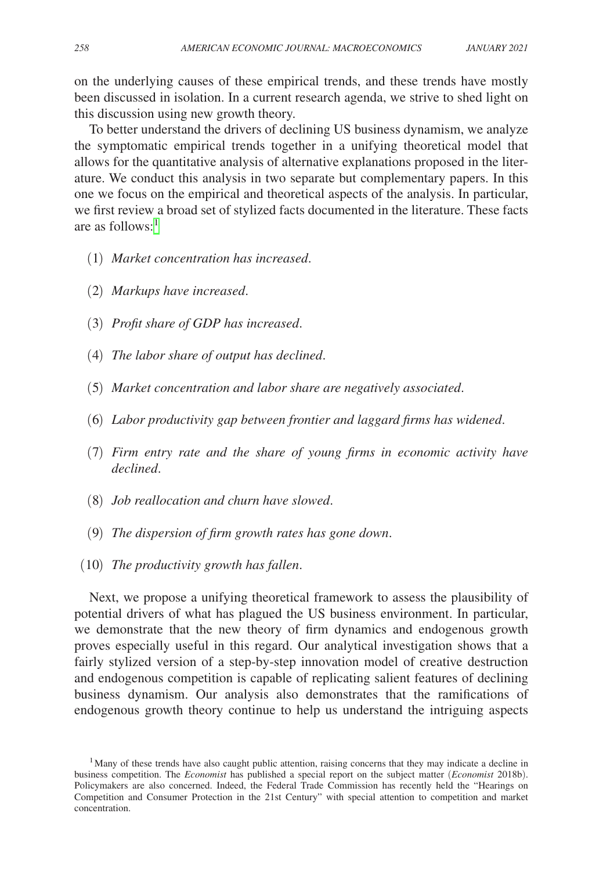on the underlying causes of these empirical trends, and these trends have mostly been discussed in isolation. In a current research agenda, we strive to shed light on this discussion using new growth theory.

To better understand the drivers of declining US business dynamism, we analyze the symptomatic empirical trends together in a unifying theoretical model that allows for the quantitative analysis of alternative explanations proposed in the literature. We conduct this analysis in two separate but complementary papers. In this one we focus on the empirical and theoretical aspects of the analysis. In particular, we first review a broad set of stylized facts documented in the literature. These facts are as follows: $<sup>1</sup>$  $<sup>1</sup>$  $<sup>1</sup>$ </sup>

- (1) *Market concentration has increased*.
- (2) *Markups have increased*.
- (3) *Profit share of GDP has increased*.
- (4) *The labor share of output has declined*.
- (5) *Market concentration and labor share are negatively associated*.
- (6) *Labor productivity gap between frontier and laggard firms has widened*.
- (7) *Firm entry rate and the share of young firms in economic activity have declined*.
- (8) *Job reallocation and churn have slowed*.
- (9) *The dispersion of firm growth rates has gone down*.
- (10) *The productivity growth has fallen*.

Next, we propose a unifying theoretical framework to assess the plausibility of potential drivers of what has plagued the US business environment. In particular, we demonstrate that the new theory of firm dynamics and endogenous growth proves especially useful in this regard. Our analytical investigation shows that a fairly stylized version of a step-by-step innovation model of creative destruction and endogenous competition is capable of replicating salient features of declining business dynamism. Our analysis also demonstrates that the ramifications of endogenous growth theory continue to help us understand the intriguing aspects

<span id="page-1-0"></span><sup>&</sup>lt;sup>1</sup>Many of these trends have also caught public attention, raising concerns that they may indicate a decline in business competition. The *Economist* has published a special report on the subject matter (*Economist* 2018b). Policymakers are also concerned. Indeed, the Federal Trade Commission has recently held the "Hearings on Competition and Consumer Protection in the 21st Century" with special attention to competition and market concentration.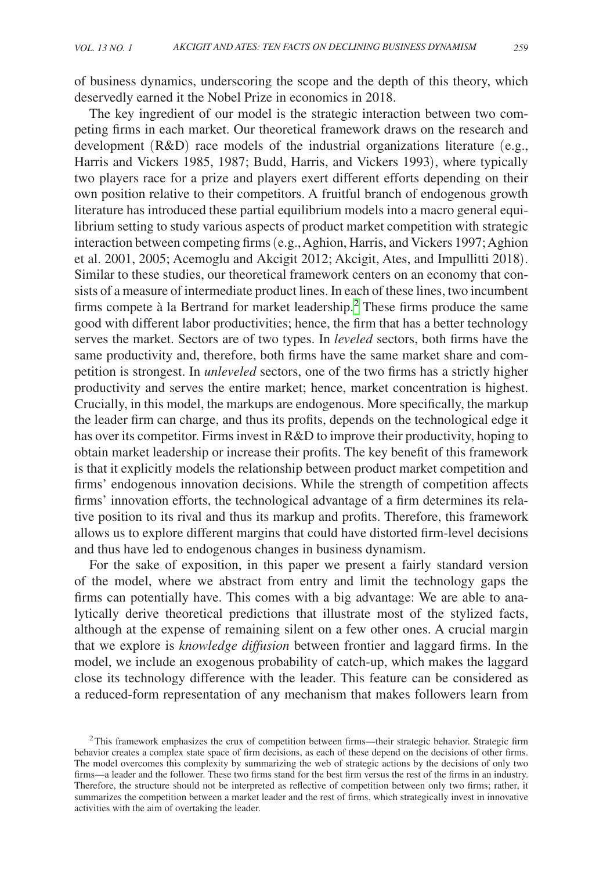of business dynamics, underscoring the scope and the depth of this theory, which deservedly earned it the Nobel Prize in economics in 2018.

The key ingredient of our model is the strategic interaction between two competing firms in each market. Our theoretical framework draws on the research and development (R&D) race models of the industrial organizations literature (e.g., Harris and Vickers 1985, 1987; Budd, Harris, and Vickers 1993), where typically two players race for a prize and players exert different efforts depending on their own position relative to their competitors. A fruitful branch of endogenous growth literature has introduced these partial equilibrium models into a macro general equilibrium setting to study various aspects of product market competition with strategic interaction between competing firms (e.g., Aghion, Harris, and Vickers 1997; Aghion et al. 2001, 2005; Acemoglu and Akcigit 2012; Akcigit, Ates, and Impullitti 2018). Similar to these studies, our theoretical framework centers on an economy that consists of a measure of intermediate product lines. In each of these lines, two incumbent firms compete à la Bertrand for market leadership.<sup>2</sup> These firms produce the same good with different labor productivities; hence, the firm that has a better technology serves the market. Sectors are of two types. In *leveled* sectors, both firms have the same productivity and, therefore, both firms have the same market share and competition is strongest. In *unleveled* sectors, one of the two firms has a strictly higher productivity and serves the entire market; hence, market concentration is highest. Crucially, in this model, the markups are endogenous. More specifically, the markup the leader firm can charge, and thus its profits, depends on the technological edge it has over its competitor. Firms invest in R&D to improve their productivity, hoping to obtain market leadership or increase their profits. The key benefit of this framework is that it explicitly models the relationship between product market competition and firms' endogenous innovation decisions. While the strength of competition affects firms' innovation efforts, the technological advantage of a firm determines its relative position to its rival and thus its markup and profits. Therefore, this framework allows us to explore different margins that could have distorted firm-level decisions and thus have led to endogenous changes in business dynamism.

For the sake of exposition, in this paper we present a fairly standard version of the model, where we abstract from entry and limit the technology gaps the firms can potentially have. This comes with a big advantage: We are able to analytically derive theoretical predictions that illustrate most of the stylized facts, although at the expense of remaining silent on a few other ones. A crucial margin that we explore is *knowledge diffusion* between frontier and laggard firms. In the model, we include an exogenous probability of catch-up, which makes the laggard close its technology difference with the leader. This feature can be considered as a reduced-form representation of any mechanism that makes followers learn from

<span id="page-2-0"></span> $2$ This framework emphasizes the crux of competition between firms—their strategic behavior. Strategic firm behavior creates a complex state space of firm decisions, as each of these depend on the decisions of other firms. The model overcomes this complexity by summarizing the web of strategic actions by the decisions of only two firms—a leader and the follower. These two firms stand for the best firm versus the rest of the firms in an industry. Therefore, the structure should not be interpreted as reflective of competition between only two firms; rather, it summarizes the competition between a market leader and the rest of firms, which strategically invest in innovative activities with the aim of overtaking the leader.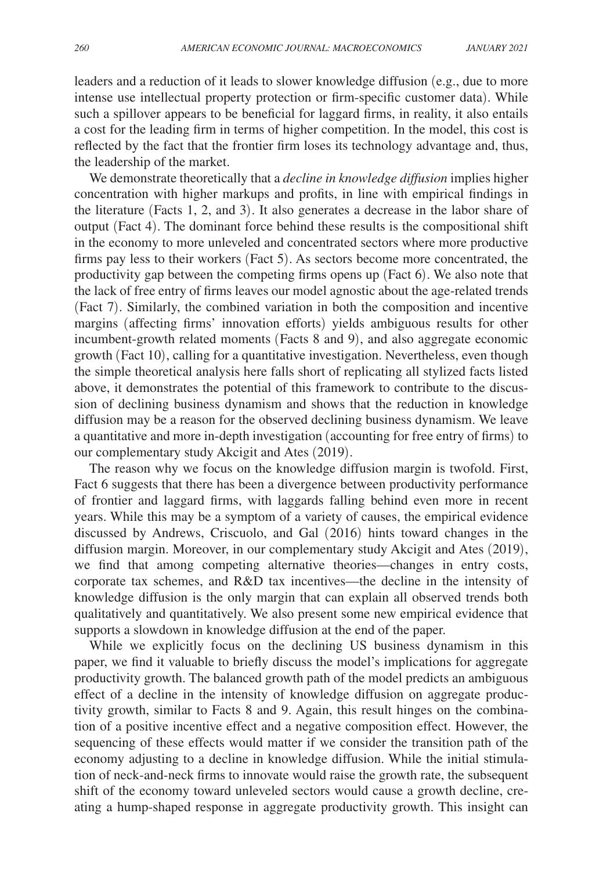leaders and a reduction of it leads to slower knowledge diffusion (e.g., due to more intense use intellectual property protection or firm-specific customer data). While such a spillover appears to be beneficial for laggard firms, in reality, it also entails a cost for the leading firm in terms of higher competition. In the model, this cost is reflected by the fact that the frontier firm loses its technology advantage and, thus, the leadership of the market.

We demonstrate theoretically that a *decline in knowledge diffusion* implies higher concentration with higher markups and profits, in line with empirical findings in the literature (Facts 1, 2, and 3). It also generates a decrease in the labor share of output (Fact 4). The dominant force behind these results is the compositional shift in the economy to more unleveled and concentrated sectors where more productive firms pay less to their workers (Fact 5). As sectors become more concentrated, the productivity gap between the competing firms opens up (Fact 6). We also note that the lack of free entry of firms leaves our model agnostic about the age-related trends (Fact 7). Similarly, the combined variation in both the composition and incentive margins (affecting firms' innovation efforts) yields ambiguous results for other incumbent-growth related moments (Facts 8 and 9), and also aggregate economic growth (Fact 10), calling for a quantitative investigation. Nevertheless, even though the simple theoretical analysis here falls short of replicating all stylized facts listed above, it demonstrates the potential of this framework to contribute to the discussion of declining business dynamism and shows that the reduction in knowledge diffusion may be a reason for the observed declining business dynamism. We leave a quantitative and more in-depth investigation (accounting for free entry of firms) to our complementary study Akcigit and Ates (2019).

The reason why we focus on the knowledge diffusion margin is twofold. First, Fact 6 suggests that there has been a divergence between productivity performance of frontier and laggard firms, with laggards falling behind even more in recent years. While this may be a symptom of a variety of causes, the empirical evidence discussed by Andrews, Criscuolo, and Gal (2016) hints toward changes in the diffusion margin. Moreover, in our complementary study Akcigit and Ates (2019), we find that among competing alternative theories—changes in entry costs, corporate tax schemes, and R&D tax incentives—the decline in the intensity of knowledge diffusion is the only margin that can explain all observed trends both qualitatively and quantitatively. We also present some new empirical evidence that supports a slowdown in knowledge diffusion at the end of the paper.

While we explicitly focus on the declining US business dynamism in this paper, we find it valuable to briefly discuss the model's implications for aggregate productivity growth. The balanced growth path of the model predicts an ambiguous effect of a decline in the intensity of knowledge diffusion on aggregate productivity growth, similar to Facts 8 and 9. Again, this result hinges on the combination of a positive incentive effect and a negative composition effect. However, the sequencing of these effects would matter if we consider the transition path of the economy adjusting to a decline in knowledge diffusion. While the initial stimulation of neck-and-neck firms to innovate would raise the growth rate, the subsequent shift of the economy toward unleveled sectors would cause a growth decline, creating a hump-shaped response in aggregate productivity growth. This insight can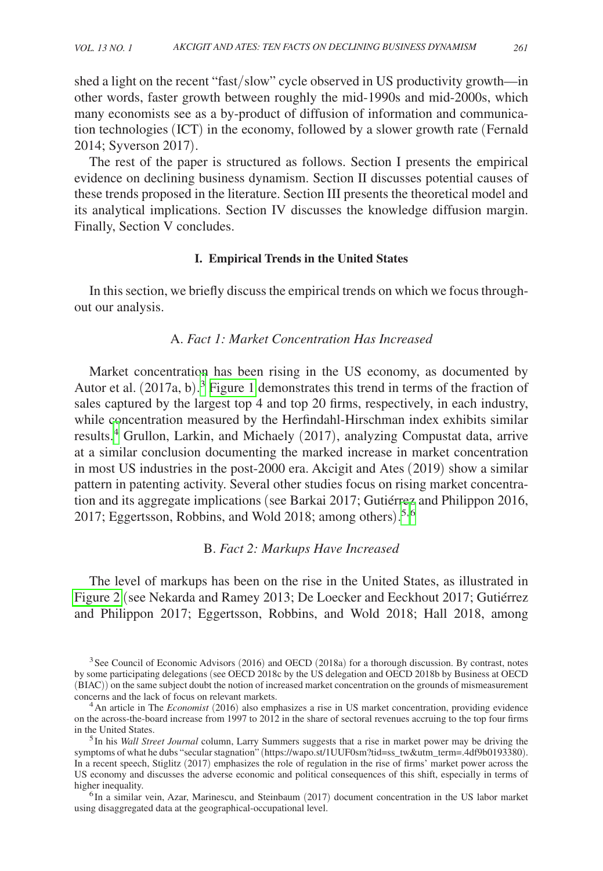shed a light on the recent "fast/slow" cycle observed in US productivity growth—in other words, faster growth between roughly the mid-1990s and mid-2000s, which many economists see as a by-product of diffusion of information and communication technologies (ICT) in the economy, followed by a slower growth rate (Fernald 2014; Syverson 2017).

The rest of the paper is structured as follows. Section I presents the empirical evidence on declining business dynamism. Section II discusses potential causes of these trends proposed in the literature. Section III presents the theoretical model and its analytical implications. Section IV discusses the knowledge diffusion margin. Finally, Section V concludes.

## **I. Empirical Trends in the United States**

In this section, we briefly discuss the empirical trends on which we focus throughout our analysis.

## A. *Fact 1: Market Concentration Has Increased*

Market concentration has been rising in the US economy, as documented by Autor et al. (2017a, b). [3](#page-4-0) [Figure 1](#page-5-0) demonstrates this trend in terms of the fraction of sales captured by the largest top 4 and top 20 firms, respectively, in each industry, while concentration measured by the Herfindahl-Hirschman index exhibits similar results.<sup>[4](#page-4-1)</sup> Grullon, Larkin, and Michaely (2017), analyzing Compustat data, arrive at a similar conclusion documenting the marked increase in market concentration in most US industries in the post-2000 era. Akcigit and Ates (2019) show a similar pattern in patenting activity. Several other studies focus on rising market concentration and its aggregate implications (see Barkai 2017; Gutiérrez and Philippon 2016, 2017; Eggertsson, Robbins, and Wold 2018; among others). [5,](#page-4-2)[6](#page-4-3)

## B. *Fact 2: Markups Have Increased*

The level of markups has been on the rise in the United States, as illustrated in [Figure 2](#page-5-0) (see Nekarda and Ramey 2013; De Loecker and Eeckhout 2017; Gutiérrez and Philippon 2017; Eggertsson, Robbins, and Wold 2018; Hall 2018, among

<span id="page-4-0"></span><sup>&</sup>lt;sup>3</sup> See Council of Economic Advisors (2016) and OECD (2018a) for a thorough discussion. By contrast, notes by some participating delegations (see OECD 2018c by the US delegation and OECD 2018b by Business at OECD (BIAC)) on the same subject doubt the notion of increased market concentration on the grounds of mismeasurement

<span id="page-4-1"></span><sup>&</sup>lt;sup>4</sup> An article in The *Economist* (2016) also emphasizes a rise in US market concentration, providing evidence on the across-the-board increase from 1997 to 2012 in the share of sectoral revenues accruing to the top four firms in the United States. 5In his *Wall Street Journal* column, Larry Summers suggests that a rise in market power may be driving the

<span id="page-4-2"></span>symptoms of what he dubs "secular stagnation" ([https://wapo.st/1UUF0sm?tid=ss\\_tw&utm\\_term=.4df9b0193380](https://wapo.st/1UUF0sm?tid=ss_tw&utm_term=.4df9b0193380)). In a recent speech, Stiglitz (2017) emphasizes the role of regulation in the rise of firms' market power across the US economy and discusses the adverse economic and political consequences of this shift, especially in terms of higher inequality.<br><sup>6</sup>In a similar vein, Azar, Marinescu, and Steinbaum (2017) document concentration in the US labor market

<span id="page-4-3"></span>using disaggregated data at the geographical-occupational level.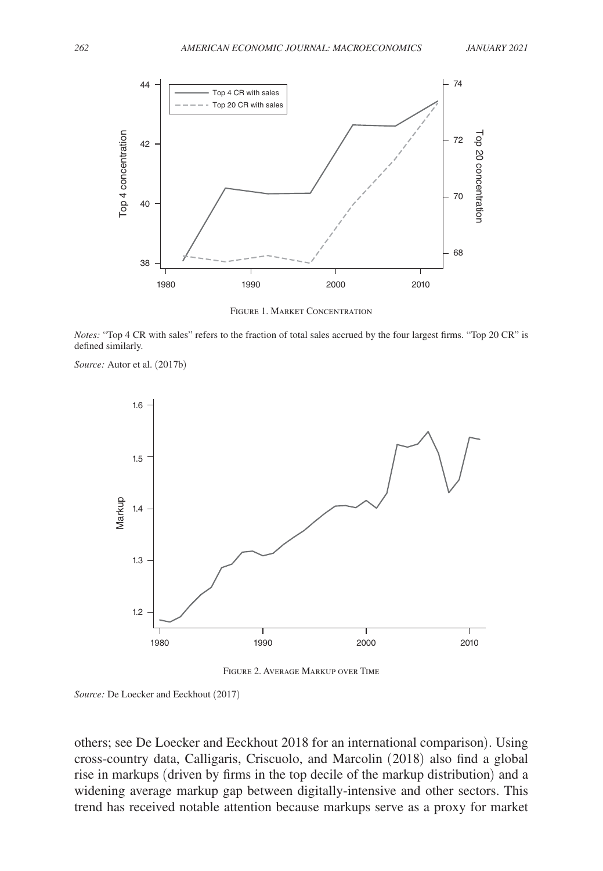<span id="page-5-0"></span>

Figure 1. Market Concentration

*Notes:* "Top 4 CR with sales" refers to the fraction of total sales accrued by the four largest firms. "Top 20 CR" is defined similarly.

*Source:* Autor et al. (2017b)



Figure 2. Average Markup over Time

*Source:* De Loecker and Eeckhout (2017)

others; see De Loecker and Eeckhout 2018 for an international comparison). Using cross-country data, Calligaris, Criscuolo, and Marcolin (2018) also find a global rise in markups (driven by firms in the top decile of the markup distribution) and a widening average markup gap between digitally-intensive and other sectors. This trend has received notable attention because markups serve as a proxy for market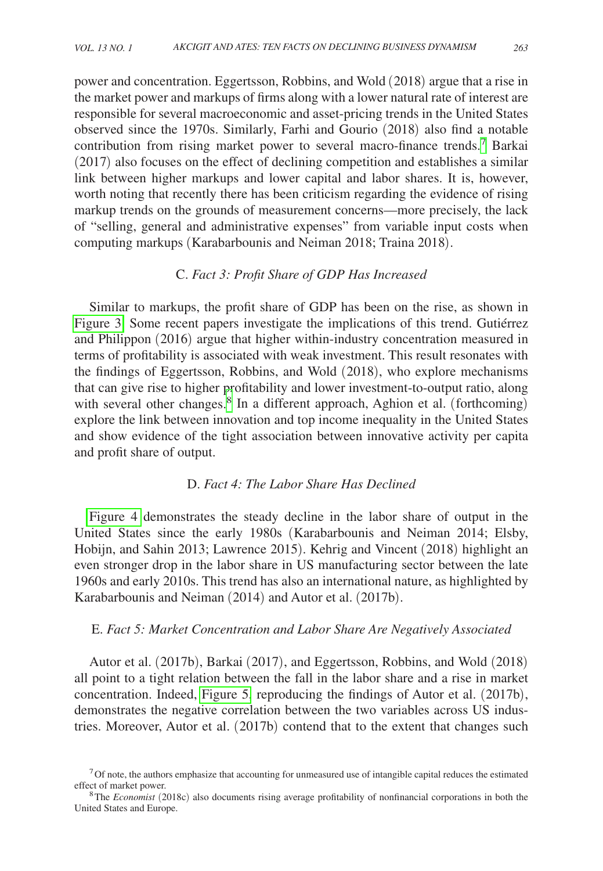power and concentration. Eggertsson, Robbins, and Wold (2018) argue that a rise in the market power and markups of firms along with a lower natural rate of interest are responsible for several macroeconomic and asset-pricing trends in the United States observed since the 1970s. Similarly, Farhi and Gourio (2018) also find a notable contribution from rising market power to several macro-finance trends.<sup>[7](#page-6-0)</sup> Barkai (2017) also focuses on the effect of declining competition and establishes a similar link between higher markups and lower capital and labor shares. It is, however, worth noting that recently there has been criticism regarding the evidence of rising markup trends on the grounds of measurement concerns—more precisely, the lack of "selling, general and administrative expenses" from variable input costs when computing markups (Karabarbounis and Neiman 2018; Traina 2018).

## C. *Fact 3: Profit Share of GDP Has Increased*

Similar to markups, the profit share of GDP has been on the rise, as shown in [Figure 3.](#page-7-0) Some recent papers investigate the implications of this trend. Gutiérrez and Philippon (2016) argue that higher within-industry concentration measured in terms of profitability is associated with weak investment. This result resonates with the findings of Eggertsson, Robbins, and Wold (2018), who explore mechanisms that can give rise to higher profitability and lower investment-to-output ratio, along with several other changes.<sup>[8](#page-6-1)</sup> In a different approach, Aghion et al. (forthcoming) explore the link between innovation and top income inequality in the United States and show evidence of the tight association between innovative activity per capita and profit share of output.

## D. *Fact 4: The Labor Share Has Declined*

[Figure 4](#page-7-0) demonstrates the steady decline in the labor share of output in the United States since the early 1980s (Karabarbounis and Neiman 2014; Elsby, Hobijn, and Sahin 2013; Lawrence 2015). Kehrig and Vincent (2018) highlight an even stronger drop in the labor share in US manufacturing sector between the late 1960s and early 2010s. This trend has also an international nature, as highlighted by Karabarbounis and Neiman (2014) and Autor et al. (2017b).

## E. *Fact 5: Market Concentration and Labor Share Are Negatively Associated*

Autor et al. (2017b), Barkai (2017), and Eggertsson, Robbins, and Wold (2018) all point to a tight relation between the fall in the labor share and a rise in market concentration. Indeed, [Figure 5,](#page-8-0) reproducing the findings of Autor et al. (2017b), demonstrates the negative correlation between the two variables across US industries. Moreover, Autor et al. (2017b) contend that to the extent that changes such

<span id="page-6-0"></span> $7$  Of note, the authors emphasize that accounting for unmeasured use of intangible capital reduces the estimated effect of market power. 8The *Economist* (2018c) also documents rising average profitability of nonfinancial corporations in both the

<span id="page-6-1"></span>United States and Europe.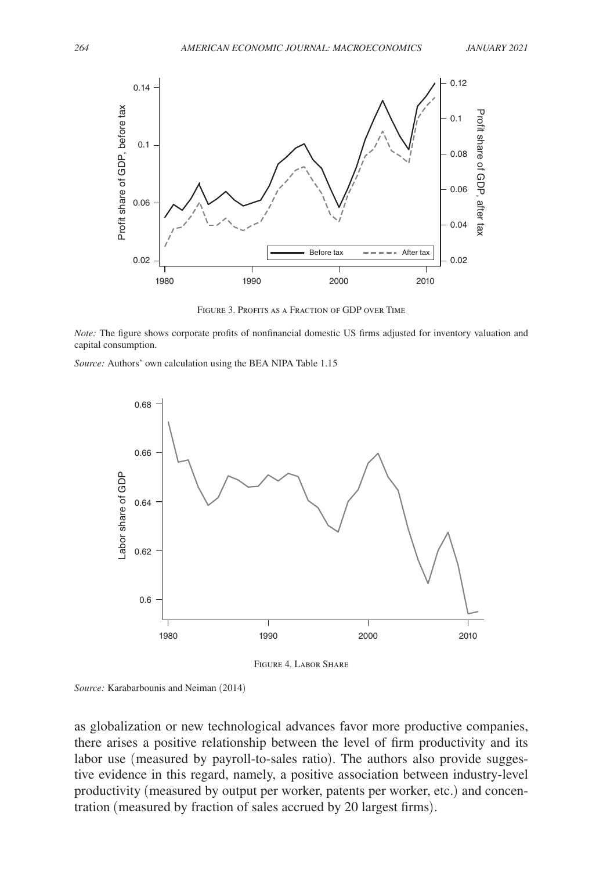<span id="page-7-0"></span>

Figure 3. Profits as a Fraction of GDP over Time

*Note:* The figure shows corporate profits of nonfinancial domestic US firms adjusted for inventory valuation and capital consumption.

*Source:* Authors' own calculation using the BEA NIPA Table 1.15



Figure 4. Labor Share

*Source:* Karabarbounis and Neiman (2014)

as globalization or new technological advances favor more productive companies, there arises a positive relationship between the level of firm productivity and its labor use (measured by payroll-to-sales ratio). The authors also provide suggestive evidence in this regard, namely, a positive association between industry-level productivity (measured by output per worker, patents per worker, etc.) and concentration (measured by fraction of sales accrued by 20 largest firms).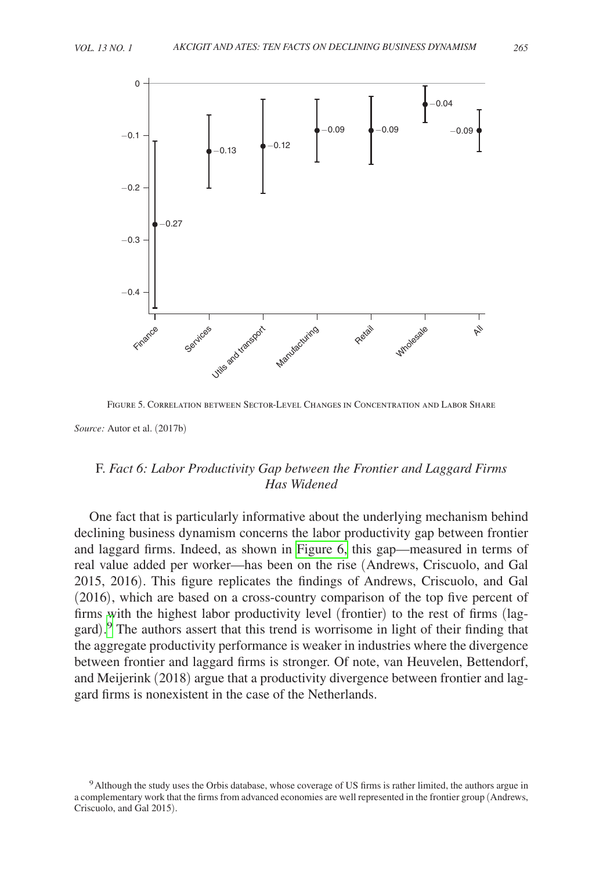



Figure 5. Correlation between Sector-Level Changes in Concentration and Labor Share

 $-0.3$ 

−0.2

−0.1

<span id="page-8-0"></span> $\Omega$ 

∩ 27

# F. *Fact 6: Labor Productivity Gap between the Frontier and Laggard Firms Has Widened*

One fact that is particularly informative about the underlying mechanism behind declining business dynamism concerns the labor productivity gap between frontier and laggard firms. Indeed, as shown in [Figure 6,](#page-9-0) this gap—measured in terms of real value added per worker—has been on the rise (Andrews, Criscuolo, and Gal 2015, 2016). This figure replicates the findings of Andrews, Criscuolo, and Gal (2016), which are based on a cross-country comparison of the top five percent of firms with the highest labor productivity level (frontier) to the rest of firms (laggard). [9](#page-8-1) The authors assert that this trend is worrisome in light of their finding that the aggregate productivity performance is weaker in industries where the divergence between frontier and laggard firms is stronger. Of note, van Heuvelen, Bettendorf, and Meijerink (2018) argue that a productivity divergence between frontier and laggard firms is nonexistent in the case of the Netherlands.

*Source:* Autor et al. (2017b)

<span id="page-8-1"></span><sup>9</sup>Although the study uses the Orbis database, whose coverage of US firms is rather limited, the authors argue in a complementary work that the firms from advanced economies are well represented in the frontier group (Andrews, Criscuolo, and Gal 2015).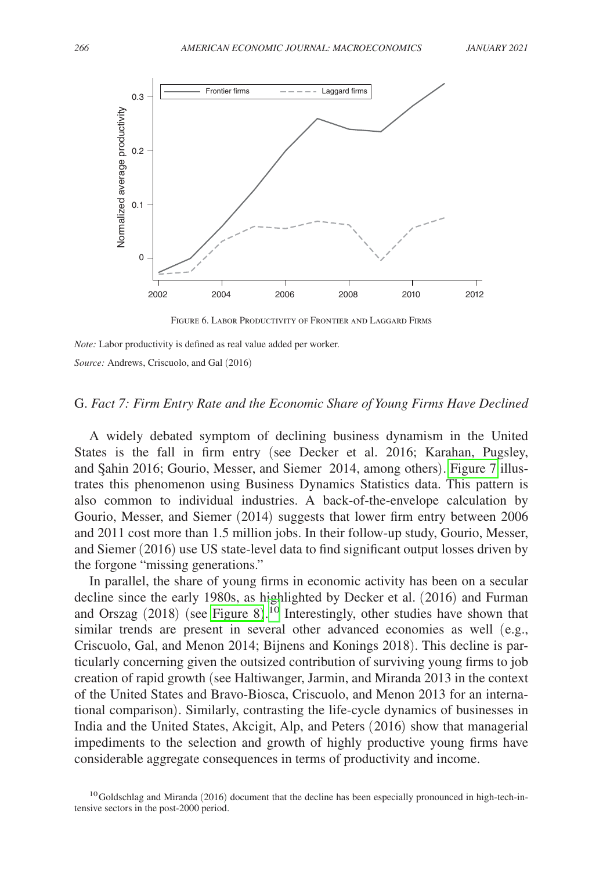<span id="page-9-0"></span>

Figure 6. Labor Productivity of Frontier and Laggard Firms

*Note:* Labor productivity is defined as real value added per worker.

*Source:* Andrews, Criscuolo, and Gal (2016)

## G. *Fact 7: Firm Entry Rate and the Economic Share of Young Firms Have Declined*

A widely debated symptom of declining business dynamism in the United States is the fall in firm entry (see Decker et al. 2016; Karahan, Pugsley, and Şahin 2016; Gourio, Messer, and Siemer 2014, among others). [Figure 7](#page-10-0) illustrates this phenomenon using Business Dynamics Statistics data. This pattern is also common to individual industries. A back-of-the-envelope calculation by Gourio, Messer, and Siemer (2014) suggests that lower firm entry between 2006 and 2011 cost more than 1.5 million jobs. In their follow-up study, Gourio, Messer, and Siemer (2016) use US state-level data to find significant output losses driven by the forgone "missing generations."

In parallel, the share of young firms in economic activity has been on a secular decline since the early 1980s, as highlighted by Decker et al. (2016) and Furman and Orszag (2018) (see [Figure 8](#page-10-0)). [10](#page-9-1) Interestingly, other studies have shown that similar trends are present in several other advanced economies as well (e.g., Criscuolo, Gal, and Menon 2014; Bijnens and Konings 2018). This decline is particularly concerning given the outsized contribution of surviving young firms to job creation of rapid growth (see Haltiwanger, Jarmin, and Miranda 2013 in the context of the United States and Bravo-Biosca, Criscuolo, and Menon 2013 for an international comparison). Similarly, contrasting the life-cycle dynamics of businesses in India and the United States, Akcigit, Alp, and Peters (2016) show that managerial impediments to the selection and growth of highly productive young firms have considerable aggregate consequences in terms of productivity and income.

<span id="page-9-1"></span> $10G$ oldschlag and Miranda (2016) document that the decline has been especially pronounced in high-tech-intensive sectors in the post-2000 period.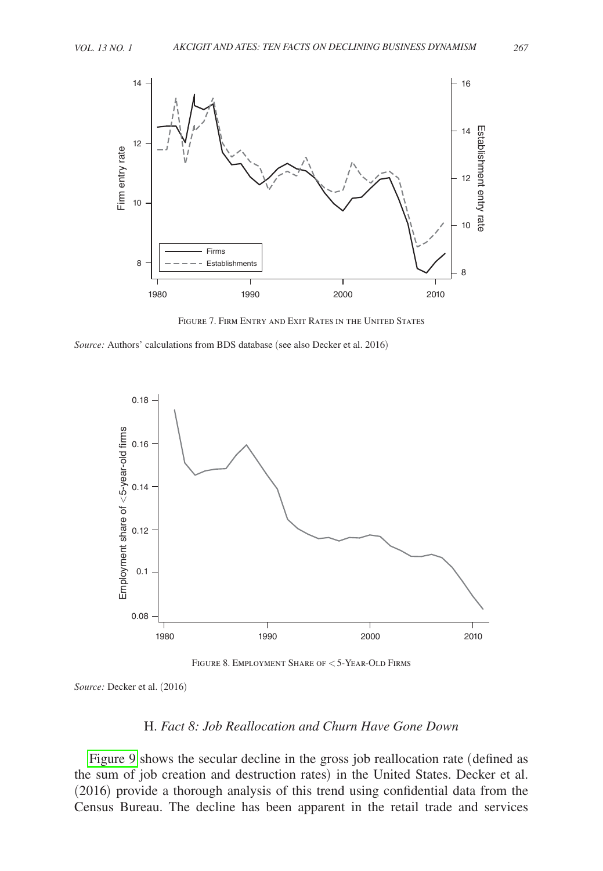<span id="page-10-0"></span>

Figure 7. Firm Entry and Exit Rates in the United States

*Source:* Authors' calculations from BDS database (see also Decker et al. 2016)



Figure 8. Employment Share of < 5-Year-Old Firms

*Source:* Decker et al. (2016)

# H. *Fact 8: Job Reallocation and Churn Have Gone Down*

[Figure 9](#page-11-0) shows the secular decline in the gross job reallocation rate (defined as the sum of job creation and destruction rates) in the United States. Decker et al. (2016) provide a thorough analysis of this trend using confidential data from the Census Bureau. The decline has been apparent in the retail trade and services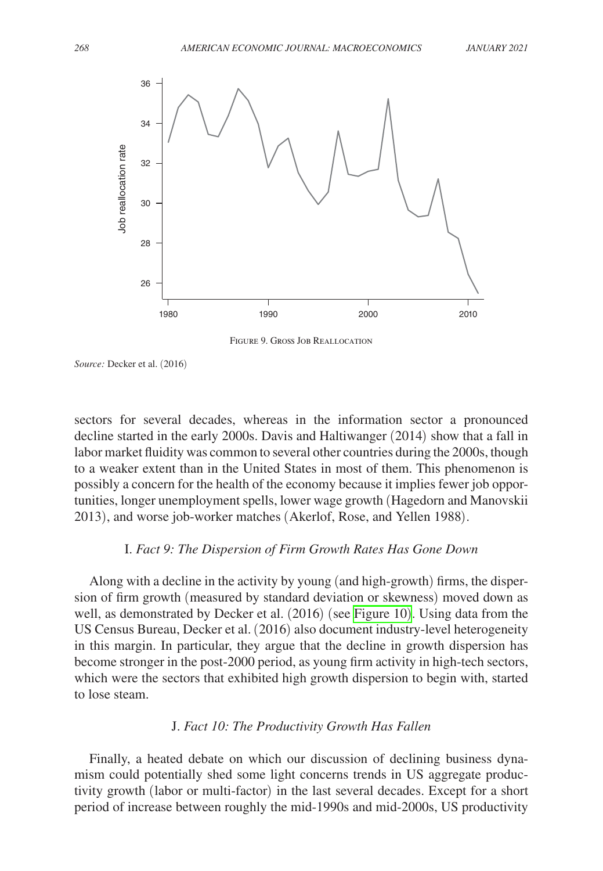<span id="page-11-0"></span>

Figure 9. Gross Job Reallocation

*Source:* Decker et al. (2016)

sectors for several decades, whereas in the information sector a pronounced decline started in the early 2000s. Davis and Haltiwanger (2014) show that a fall in labor market fluidity was common to several other countries during the 2000s, though to a weaker extent than in the United States in most of them. This phenomenon is possibly a concern for the health of the economy because it implies fewer job opportunities, longer unemployment spells, lower wage growth (Hagedorn and Manovskii 2013), and worse job-worker matches (Akerlof, Rose, and Yellen 1988).

## I. *Fact 9: The Dispersion of Firm Growth Rates Has Gone Down*

Along with a decline in the activity by young (and high-growth) firms, the dispersion of firm growth (measured by standard deviation or skewness) moved down as well, as demonstrated by Decker et al. (2016) (see [Figure 10](#page-12-0)). Using data from the US Census Bureau, Decker et al. (2016) also document industry-level heterogeneity in this margin. In particular, they argue that the decline in growth dispersion has become stronger in the post-2000 period, as young firm activity in high-tech sectors, which were the sectors that exhibited high growth dispersion to begin with, started to lose steam.

## J. *Fact 10: The Productivity Growth Has Fallen*

Finally, a heated debate on which our discussion of declining business dynamism could potentially shed some light concerns trends in US aggregate productivity growth (labor or multi-factor) in the last several decades. Except for a short period of increase between roughly the mid-1990s and mid-2000s, US productivity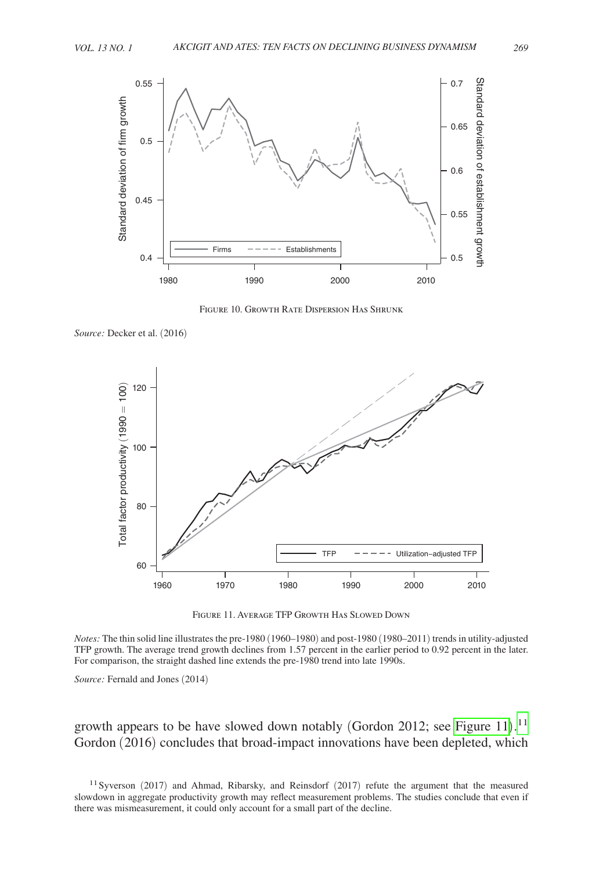<span id="page-12-0"></span>

Figure 10. Growth Rate Dispersion Has Shrunk

*Source:* Decker et al. (2016)



Figure 11. Average TFP Growth Has Slowed Down

*Notes:* The thin solid line illustrates the pre-1980 (1960–1980) and post-1980 (1980–2011) trends in utility-adjusted TFP growth. The average trend growth declines from 1.57 percent in the earlier period to 0.92 percent in the later. For comparison, the straight dashed line extends the pre-1980 trend into late 1990s.

*Source:* Fernald and Jones (2014)

growth appears to be have slowed down notably (Gordon 2012; see Figure [11](#page-12-1)).<sup>11</sup> Gordon (2016) concludes that broad-impact innovations have been depleted, which

<span id="page-12-1"></span><sup>11</sup> Syverson (2017) and Ahmad, Ribarsky, and Reinsdorf (2017) refute the argument that the measured slowdown in aggregate productivity growth may reflect measurement problems. The studies conclude that even if there was mismeasurement, it could only account for a small part of the decline.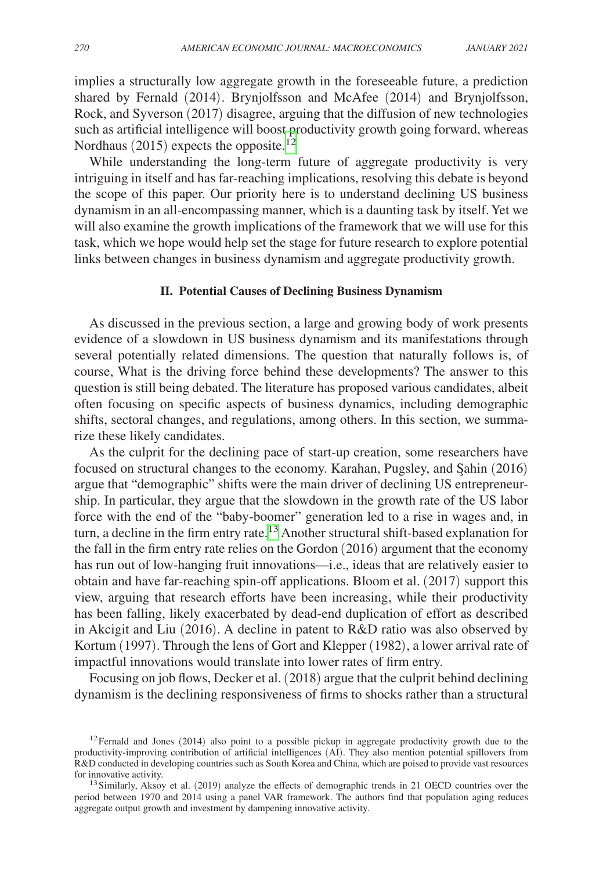implies a structurally low aggregate growth in the foreseeable future, a prediction shared by Fernald (2014). Brynjolfsson and McAfee (2014) and Brynjolfsson, Rock, and Syverson (2017) disagree, arguing that the diffusion of new technologies such as artificial intelligence will boost productivity growth going forward, whereas Nordhaus (2015) expects the opposite.<sup>12</sup>

While understanding the long-term future of aggregate productivity is very intriguing in itself and has far-reaching implications, resolving this debate is beyond the scope of this paper. Our priority here is to understand declining US business dynamism in an all-encompassing manner, which is a daunting task by itself. Yet we will also examine the growth implications of the framework that we will use for this task, which we hope would help set the stage for future research to explore potential links between changes in business dynamism and aggregate productivity growth.

#### **II. Potential Causes of Declining Business Dynamism**

As discussed in the previous section, a large and growing body of work presents evidence of a slowdown in US business dynamism and its manifestations through several potentially related dimensions. The question that naturally follows is, of course, What is the driving force behind these developments? The answer to this question is still being debated. The literature has proposed various candidates, albeit often focusing on specific aspects of business dynamics, including demographic shifts, sectoral changes, and regulations, among others. In this section, we summarize these likely candidates.

As the culprit for the declining pace of start-up creation, some researchers have focused on structural changes to the economy. Karahan, Pugsley, and Şahin (2016) argue that "demographic" shifts were the main driver of declining US entrepreneurship. In particular, they argue that the slowdown in the growth rate of the US labor force with the end of the "baby-boomer" generation led to a rise in wages and, in turn, a decline in the firm entry rate.<sup>13</sup> Another structural shift-based explanation for the fall in the firm entry rate relies on the Gordon (2016) argument that the economy has run out of low-hanging fruit innovations—i.e., ideas that are relatively easier to obtain and have far-reaching spin-off applications. Bloom et al. (2017) support this view, arguing that research efforts have been increasing, while their productivity has been falling, likely exacerbated by dead-end duplication of effort as described in Akcigit and Liu (2016). A decline in patent to R&D ratio was also observed by Kortum (1997). Through the lens of Gort and Klepper (1982), a lower arrival rate of impactful innovations would translate into lower rates of firm entry.

Focusing on job flows, Decker et al. (2018) argue that the culprit behind declining dynamism is the declining responsiveness of firms to shocks rather than a structural

<span id="page-13-0"></span> $12$ Fernald and Jones (2014) also point to a possible pickup in aggregate productivity growth due to the productivity-improving contribution of artificial intelligences (AI). They also mention potential spillovers from R&D conducted in developing countries such as South Korea and China, which are poised to provide vast resources for innovative activity.<br><sup>13</sup>Similarly, Aksoy et al. (2019) analyze the effects of demographic trends in 21 OECD countries over the

<span id="page-13-1"></span>period between 1970 and 2014 using a panel VAR framework. The authors find that population aging reduces aggregate output growth and investment by dampening innovative activity.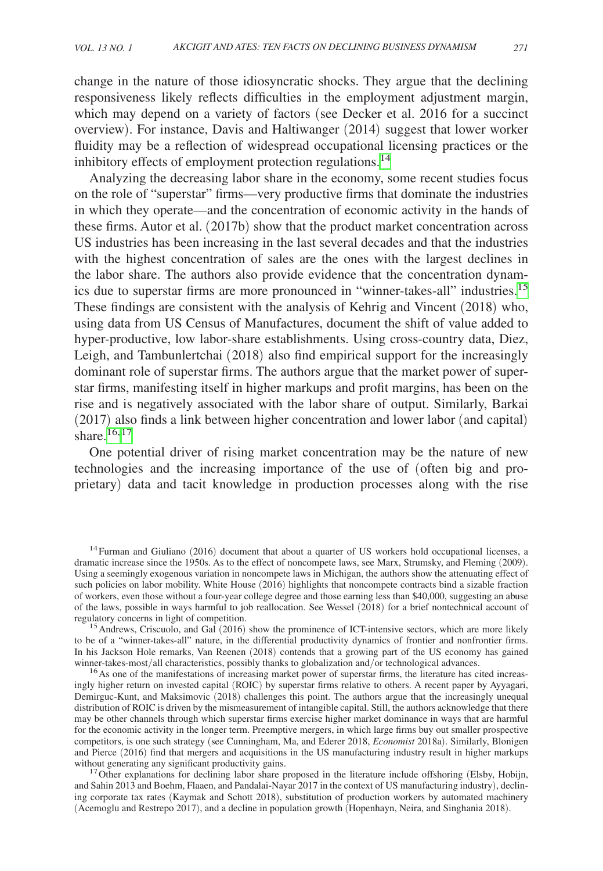change in the nature of those idiosyncratic shocks. They argue that the declining responsiveness likely reflects difficulties in the employment adjustment margin, which may depend on a variety of factors (see Decker et al. 2016 for a succinct overview). For instance, Davis and Haltiwanger (2014) suggest that lower worker fluidity may be a reflection of widespread occupational licensing practices or the inhibitory effects of employment protection regulations.<sup>[14](#page-14-0)</sup>

Analyzing the decreasing labor share in the economy, some recent studies focus on the role of "superstar" firms—very productive firms that dominate the industries in which they operate—and the concentration of economic activity in the hands of these firms. Autor et al. (2017b) show that the product market concentration across US industries has been increasing in the last several decades and that the industries with the highest concentration of sales are the ones with the largest declines in the labor share. The authors also provide evidence that the concentration dynamics due to superstar firms are more pronounced in "winner-takes-all" industries.<sup>15</sup> These findings are consistent with the analysis of Kehrig and Vincent (2018) who, using data from US Census of Manufactures, document the shift of value added to hyper-productive, low labor-share establishments. Using cross-country data, Diez, Leigh, and Tambunlertchai (2018) also find empirical support for the increasingly dominant role of superstar firms. The authors argue that the market power of superstar firms, manifesting itself in higher markups and profit margins, has been on the rise and is negatively associated with the labor share of output. Similarly, Barkai (2017) also finds a link between higher concentration and lower labor (and capital) share $16,17$  $16,17$ 

One potential driver of rising market concentration may be the nature of new technologies and the increasing importance of the use of (often big and proprietary) data and tacit knowledge in production processes along with the rise

<span id="page-14-0"></span><sup>&</sup>lt;sup>14</sup>Furman and Giuliano (2016) document that about a quarter of US workers hold occupational licenses, a dramatic increase since the 1950s. As to the effect of noncompete laws, see Marx, Strumsky, and Fleming (2009). Using a seemingly exogenous variation in noncompete laws in Michigan, the authors show the attenuating effect of such policies on labor mobility. White House (2016) highlights that noncompete contracts bind a sizable fraction of workers, even those without a four-year college degree and those earning less than \$40,000, suggesting an abuse of the laws, possible in ways harmful to job reallocation. See Wessel (2018) for a brief nontechnical account of regulatory concerns in light of competition.

<span id="page-14-1"></span><sup>&</sup>lt;sup>15</sup> Andrews, Criscuolo, and Gal  $(2016)$  show the prominence of ICT-intensive sectors, which are more likely to be of a "winner-takes-all" nature, in the differential productivity dynamics of frontier and nonfrontier firms. In his Jackson Hole remarks, Van Reenen (2018) contends that a growing part of the US economy has gained winner-takes-most/all characteristics, possibly thanks to globalization and/or technological advances.

<span id="page-14-2"></span> $^{16}$ As one of the manifestations of increasing market power of superstar firms, the literature has cited increasingly higher return on invested capital (ROIC) by superstar firms relative to others. A recent paper by Ayyagari, Demirguc-Kunt, and Maksimovic (2018) challenges this point. The authors argue that the increasingly unequal distribution of ROIC is driven by the mismeasurement of intangible capital. Still, the authors acknowledge that there may be other channels through which superstar firms exercise higher market dominance in ways that are harmful for the economic activity in the longer term. Preemptive mergers, in which large firms buy out smaller prospective competitors, is one such strategy (see Cunningham, Ma, and Ederer 2018, *Economist* 2018a). Similarly, Blonigen and Pierce (2016) find that mergers and acquisitions in the US manufacturing industry result in higher markups without generating any significant productivity gains.

<span id="page-14-3"></span><sup>&</sup>lt;sup>17</sup> Other explanations for declining labor share proposed in the literature include offshoring (Elsby, Hobijn, and Sahin 2013 and Boehm, Flaaen, and Pandalai-Nayar 2017 in the context of US manufacturing industry), declining corporate tax rates (Kaymak and Schott 2018), substitution of production workers by automated machinery (Acemoglu and Restrepo 2017), and a decline in population growth (Hopenhayn, Neira, and Singhania 2018).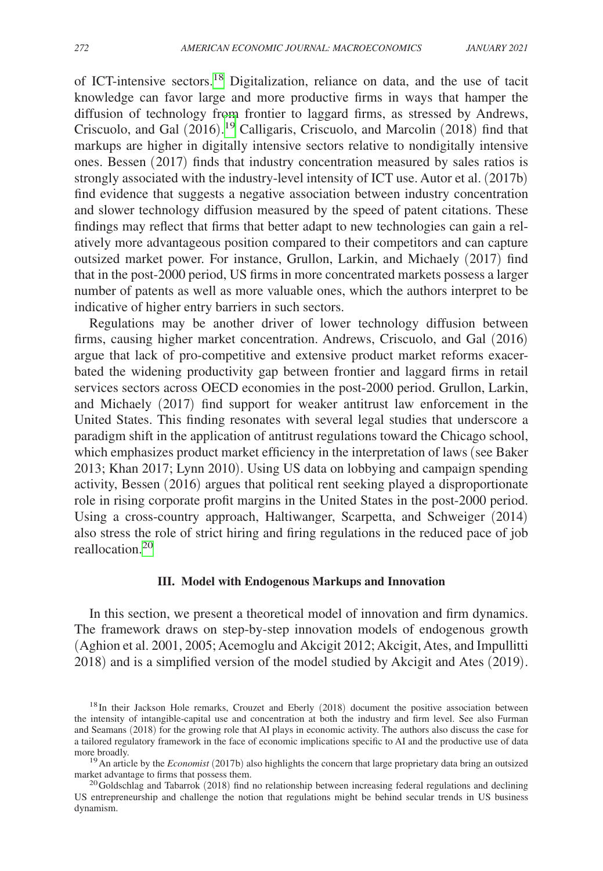of ICT-intensive sectors.[18](#page-15-0) Digitalization, reliance on data, and the use of tacit knowledge can favor large and more productive firms in ways that hamper the diffusion of technology from frontier to laggard firms, as stressed by Andrews, Criscuolo, and Gal (2016).<sup>19</sup> Calligaris, Criscuolo, and Marcolin (2018) find that markups are higher in digitally intensive sectors relative to nondigitally intensive ones. Bessen (2017) finds that industry concentration measured by sales ratios is strongly associated with the industry-level intensity of ICT use. Autor et al. (2017b) find evidence that suggests a negative association between industry concentration and slower technology diffusion measured by the speed of patent citations. These findings may reflect that firms that better adapt to new technologies can gain a relatively more advantageous position compared to their competitors and can capture outsized market power. For instance, Grullon, Larkin, and Michaely (2017) find that in the post-2000 period, US firms in more concentrated markets possess a larger number of patents as well as more valuable ones, which the authors interpret to be indicative of higher entry barriers in such sectors.

Regulations may be another driver of lower technology diffusion between firms, causing higher market concentration. Andrews, Criscuolo, and Gal (2016) argue that lack of pro-competitive and extensive product market reforms exacerbated the widening productivity gap between frontier and laggard firms in retail services sectors across OECD economies in the post-2000 period. Grullon, Larkin, and Michaely (2017) find support for weaker antitrust law enforcement in the United States. This finding resonates with several legal studies that underscore a paradigm shift in the application of antitrust regulations toward the Chicago school, which emphasizes product market efficiency in the interpretation of laws (see Baker 2013; Khan 2017; Lynn 2010). Using US data on lobbying and campaign spending activity, Bessen (2016) argues that political rent seeking played a disproportionate role in rising corporate profit margins in the United States in the post-2000 period. Using a cross-country approach, Haltiwanger, Scarpetta, and Schweiger (2014) also stress the role of strict hiring and firing regulations in the reduced pace of job reallocation.[20](#page-15-2)

#### **III. Model with Endogenous Markups and Innovation**

In this section, we present a theoretical model of innovation and firm dynamics. The framework draws on step-by-step innovation models of endogenous growth (Aghion et al. 2001, 2005; Acemoglu and Akcigit 2012; Akcigit, Ates, and Impullitti 2018) and is a simplified version of the model studied by Akcigit and Ates (2019).

<span id="page-15-0"></span><sup>&</sup>lt;sup>18</sup>In their Jackson Hole remarks, Crouzet and Eberly (2018) document the positive association between the intensity of intangible-capital use and concentration at both the industry and firm level. See also Furman and Seamans (2018) for the growing role that AI plays in economic activity. The authors also discuss the case for a tailored regulatory framework in the face of economic implications specific to AI and the productive use of data

<span id="page-15-1"></span>more broadly.<br><sup>19</sup>An article by the *Economist* (2017b) also highlights the concern that large proprietary data bring an outsized market advantage to firms that possess them.

<span id="page-15-2"></span> $^{20}$ Goldschlag and Tabarrok (2018) find no relationship between increasing federal regulations and declining US entrepreneurship and challenge the notion that regulations might be behind secular trends in US business dynamism.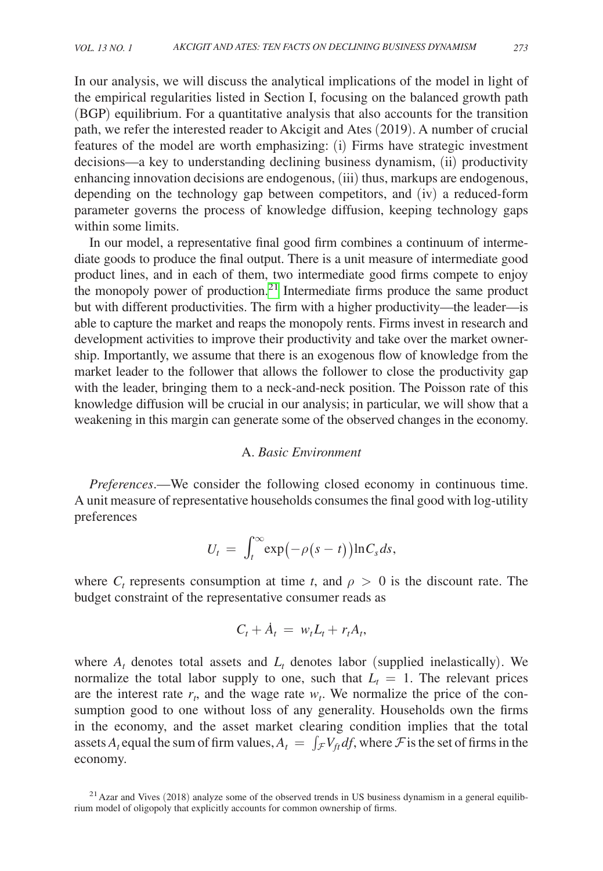In our analysis, we will discuss the analytical implications of the model in light of the empirical regularities listed in Section I, focusing on the balanced growth path (BGP) equilibrium. For a quantitative analysis that also accounts for the transition path, we refer the interested reader to Akcigit and Ates (2019). A number of crucial features of the model are worth emphasizing: (i) Firms have strategic investment decisions—a key to understanding declining business dynamism, (ii) productivity enhancing innovation decisions are endogenous, (iii) thus, markups are endogenous, depending on the technology gap between competitors, and (iv) a reduced-form parameter governs the process of knowledge diffusion, keeping technology gaps within some limits.

In our model, a representative final good firm combines a continuum of intermediate goods to produce the final output. There is a unit measure of intermediate good product lines, and in each of them, two intermediate good firms compete to enjoy the monopoly power of production. $2<sup>1</sup>$  Intermediate firms produce the same product but with different productivities. The firm with a higher productivity—the leader—is able to capture the market and reaps the monopoly rents. Firms invest in research and development activities to improve their productivity and take over the market ownership. Importantly, we assume that there is an exogenous flow of knowledge from the market leader to the follower that allows the follower to close the productivity gap with the leader, bringing them to a neck-and-neck position. The Poisson rate of this knowledge diffusion will be crucial in our analysis; in particular, we will show that a weakening in this margin can generate some of the observed changes in the economy.

#### A. *Basic Environment*

*Preferences*.—We consider the following closed economy in continuous time. A unit measure of representative households consumes the final good with log-utility preferences

$$
U_t = \int_t^{\infty} \exp(-\rho(s-t)) \ln C_s ds,
$$

where  $C_t$  represents consumption at time *t*, and  $\rho > 0$  is the discount rate. The budget constraint of the representative consumer reads as

$$
C_t + \dot{A}_t = w_t L_t + r_t A_t,
$$

where  $A_t$  denotes total assets and  $L_t$  denotes labor (supplied inelastically). We normalize the total labor supply to one, such that  $L_t = 1$ . The relevant prices are the interest rate  $r_t$ , and the wage rate  $w_t$ . We normalize the price of the consumption good to one without loss of any generality. Households own the firms in the economy, and the asset market clearing condition implies that the total assets  $A_t$  equal the sum of firm values,  $A_t = \int_{\mathcal{F}} V_{ft} df$ , where  $\mathcal{F}$  is the set of firms in the economy.

<span id="page-16-0"></span> $^{21}$  Azar and Vives (2018) analyze some of the observed trends in US business dynamism in a general equilibrium model of oligopoly that explicitly accounts for common ownership of firms.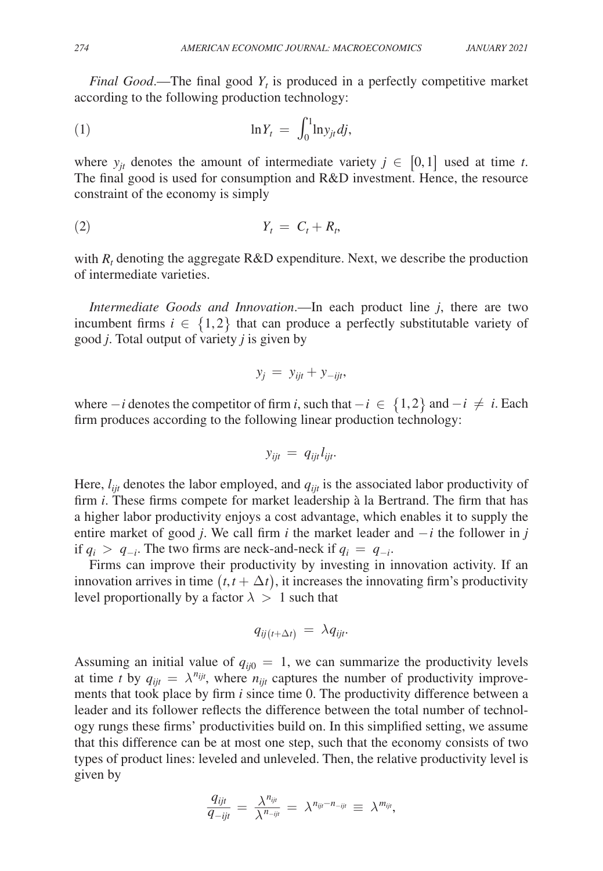*Final Good*.—The final good  $Y_t$  is produced in a perfectly competitive market according to the following production technology:

$$
\ln Y_t = \int_0^1 \ln y_{jt} \, dj,
$$

where  $y_{it}$  denotes the amount of intermediate variety  $j \in [0,1]$  used at time *t*. The final good is used for consumption and R&D investment. Hence, the resource constraint of the economy is simply

$$
Y_t = C_t + R_t,
$$

with  $R_t$  denoting the aggregate  $R&D$  expenditure. Next, we describe the production of intermediate varieties.

*Intermediate Goods and Innovation*.—In each product line *j*, there are two incumbent firms  $i \in \{1,2\}$  that can produce a perfectly substitutable variety of good *j*. Total output of variety *j* is given by

$$
y_j = y_{ijt} + y_{-ijt},
$$

where  $-i$  denotes the competitor of firm *i*, such that  $-i \in \{1,2\}$  and  $-i \neq i$ . Each firm produces according to the following linear production technology:

$$
y_{ijt} = q_{ijt} l_{ijt}.
$$

Here,  $l_{ijt}$  denotes the labor employed, and  $q_{ijt}$  is the associated labor productivity of firm *i*. These firms compete for market leadership à la Bertrand. The firm that has a higher labor productivity enjoys a cost advantage, which enables it to supply the entire market of good *j*. We call firm *i* the market leader and  $-i$  the follower in *j* if  $q_i > q_{-i}$ . The two firms are neck-and-neck if  $q_i = q_{-i}$ .

Firms can improve their productivity by investing in innovation activity. If an innovation arrives in time  $(t, t + \Delta t)$ , it increases the innovating firm's productivity level proportionally by a factor  $\lambda > 1$  such that

$$
q_{ij(t+\Delta t)} = \lambda q_{ijt}.
$$

Assuming an initial value of  $q_{ii0} = 1$ , we can summarize the productivity levels at time *t* by  $q_{ijt} = \lambda^{n_{ijt}}$ , where  $n_{ijt}$  captures the number of productivity improvements that took place by firm *i* since time 0. The productivity difference between a leader and its follower reflects the difference between the total number of technology rungs these firms' productivities build on. In this simplified setting, we assume that this difference can be at most one step, such that the economy consists of two types of product lines: leveled and unleveled. Then, the relative productivity level is given by

$$
\frac{q_{ijt}}{q_{-ijt}} = \frac{\lambda^{n_{ijt}}}{\lambda^{n_{-ijt}}} = \lambda^{n_{ijt} - n_{-ijt}} \equiv \lambda^{m_{ijt}},
$$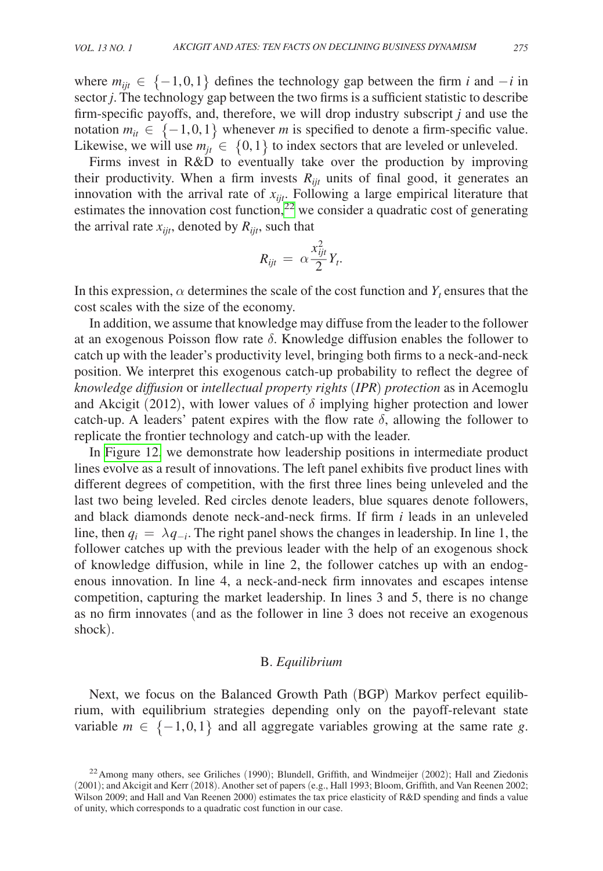where  $m_{ijt} \in \{-1,0,1\}$  defines the technology gap between the firm *i* and  $-i$  in sector *j*. The technology gap between the two firms is a sufficient statistic to describe firm-specific payoffs, and, therefore, we will drop industry subscript *j* and use the notation  $m_{it} \in \{-1, 0, 1\}$  whenever *m* is specified to denote a firm-specific value. Likewise, we will use  $m_{it} \in \{0,1\}$  to index sectors that are leveled or unleveled.

Firms invest in R&D to eventually take over the production by improving their productivity. When a firm invests  $R_{ijt}$  units of final good, it generates an innovation with the arrival rate of *xijt*. Following a large empirical literature that estimates the innovation cost function,<sup>22</sup> we consider a quadratic cost of generating the arrival rate  $x_{iit}$ , denoted by  $R_{iit}$ , such that

$$
R_{ijt} = \alpha \frac{x_{ijt}^2}{2} Y_t.
$$

In this expression,  $\alpha$  determines the scale of the cost function and  $Y_t$  ensures that the cost scales with the size of the economy.

In addition, we assume that knowledge may diffuse from the leader to the follower at an exogenous Poisson flow rate δ. Knowledge diffusion enables the follower to catch up with the leader's productivity level, bringing both firms to a neck-and-neck position. We interpret this exogenous catch-up probability to reflect the degree of *knowledge diffusion* or *intellectual property rights* (*IPR*) *protection* as in Acemoglu and Akcigit (2012), with lower values of  $\delta$  implying higher protection and lower catch-up. A leaders' patent expires with the flow rate  $\delta$ , allowing the follower to replicate the frontier technology and catch-up with the leader.

In [Figure 12,](#page-19-0) we demonstrate how leadership positions in intermediate product lines evolve as a result of innovations. The left panel exhibits five product lines with different degrees of competition, with the first three lines being unleveled and the last two being leveled. Red circles denote leaders, blue squares denote followers, and black diamonds denote neck-and-neck firms. If firm *i* leads in an unleveled line, then  $q_i = \lambda q_{-i}$ . The right panel shows the changes in leadership. In line 1, the follower catches up with the previous leader with the help of an exogenous shock of knowledge diffusion, while in line 2, the follower catches up with an endogenous innovation. In line 4, a neck-and-neck firm innovates and escapes intense competition, capturing the market leadership. In lines 3 and 5, there is no change as no firm innovates (and as the follower in line 3 does not receive an exogenous shock).

## B. *Equilibrium*

Next, we focus on the Balanced Growth Path (BGP) Markov perfect equilibrium, with equilibrium strategies depending only on the payoff-relevant state variable  $m \in \{-1,0,1\}$  and all aggregate variables growing at the same rate g.

<span id="page-18-0"></span> $^{22}$  Among many others, see Griliches (1990); Blundell, Griffith, and Windmeijer (2002); Hall and Ziedonis (2001); and Akcigit and Kerr (2018). Another set of papers (e.g., Hall 1993; Bloom, Griffith, and Van Reenen 2002; Wilson 2009; and Hall and Van Reenen 2000) estimates the tax price elasticity of R&D spending and finds a value of unity, which corresponds to a quadratic cost function in our case.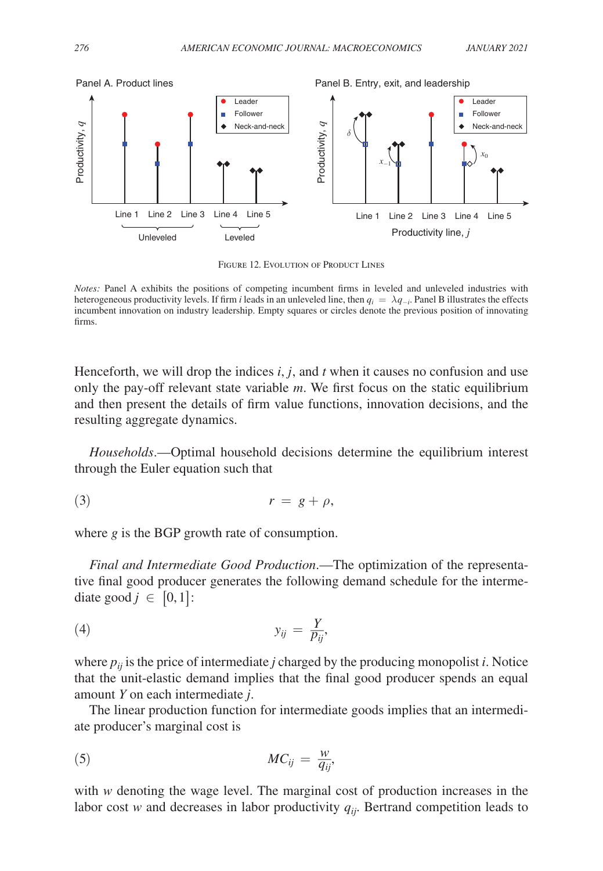<span id="page-19-0"></span>

FIGURE 12. EVOLUTION OF PRODUCT LINES

*Notes:* Panel A exhibits the positions of competing incumbent firms in leveled and unleveled industries with heterogeneous productivity levels. If firm *i* leads in an unleveled line, then  $q_i = \lambda q_{-i}$ . Panel B illustrates the effects incumbent innovation on industry leadership. Empty squares or circles denote the previous position of innovating firms.

Henceforth, we will drop the indices *i*, *j*, and *t* when it causes no confusion and use only the pay-off relevant state variable *m*. We first focus on the static equilibrium and then present the details of firm value functions, innovation decisions, and the resulting aggregate dynamics.

*Households*.—Optimal household decisions determine the equilibrium interest through the Euler equation such that

$$
r = g + \rho,
$$

where *g* is the BGP growth rate of consumption.

*Final and Intermediate Good Production*.—The optimization of the representative final good producer generates the following demand schedule for the intermediate good  $j \in [0,1]$ :

$$
y_{ij} = \frac{Y}{p_{ij}},
$$

where  $p_{ij}$  is the price of intermediate *j* charged by the producing monopolist *i*. Notice that the unit-elastic demand implies that the final good producer spends an equal amount *Y* on each intermediate *j*.

The linear production function for intermediate goods implies that an intermediate producer's marginal cost is

$$
MC_{ij} = \frac{w}{q_{ij}},
$$

with *w* denoting the wage level. The marginal cost of production increases in the labor cost *w* and decreases in labor productivity *qij*. Bertrand competition leads to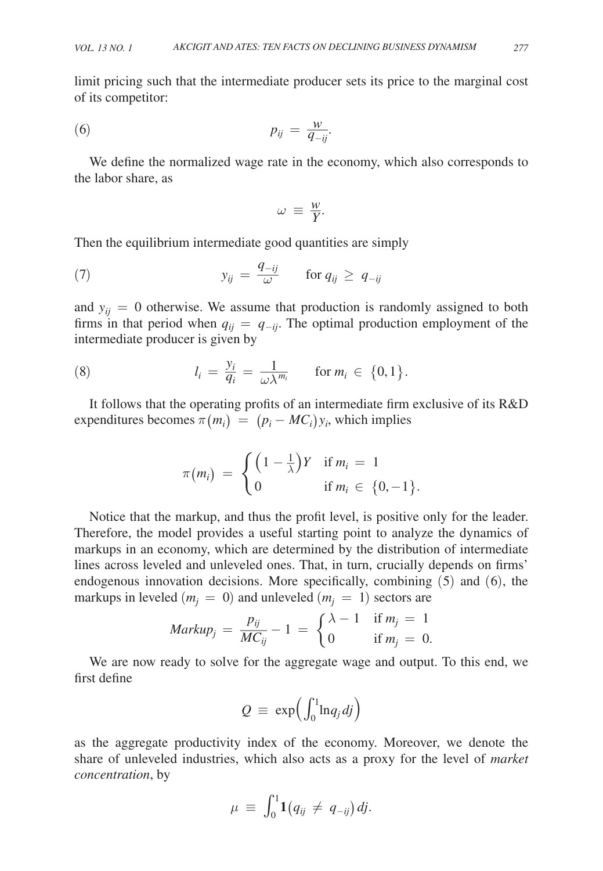limit pricing such that the intermediate producer sets its price to the marginal cost of its competitor:

or its competitor:

\n
$$
p_{ij} = \frac{w}{q_{-ij}}.
$$

We define the normalized wage rate in the economy, which also corresponds to the labor share, as

$$
\omega \equiv \frac{w}{Y}.
$$

Then the equilibrium intermediate good quantities are simply  
(7) 
$$
y_{ij} = \frac{q_{-ij}}{\omega}
$$
 for  $q_{ij} \ge q_{-ij}$ 

and  $y_{ij} = 0$  otherwise. We assume that production is randomly assigned to both firms in that period when  $q_{ij} = q_{-ij}$ . The optimal production employment of the

intermediate producer is given by  
\n
$$
l_i = \frac{y_i}{q_i} = \frac{1}{\omega \lambda^{m_i}} \quad \text{for } m_i \in \{0, 1\}.
$$

It follows that the operating profits of an intermediate firm exclusive of its R&D

expenditures becomes

\n
$$
\pi(m_i) = (p_i - MC_i)y_i
$$
\nwhich implies

\n
$$
\pi(m_i) = \begin{cases} \left(1 - \frac{1}{\lambda}\right)Y & \text{if } m_i = 1 \\ 0 & \text{if } m_i \in \{0, -1\}. \end{cases}
$$

Notice that the markup, and thus the profit level, is positive only for the leader. Therefore, the model provides a useful starting point to analyze the dynamics of markups in an economy, which are determined by the distribution of intermediate lines across leveled and unleveled ones. That, in turn, crucially depends on firms' endogenous innovation decisions. More specifically, combining (5) and (6), the endogenous innovation decisions. More specifically, combining (:<br>
markups in leveled  $(m_j = 0)$  and unleveled  $(m_j = 1)$  sectors are<br>  $Markup_j = \frac{p_{ij}}{MC_{ij}} - 1 = \begin{cases} \lambda - 1 & \text{if } m_j = 1 \\ 0 & \text{if } m_j = 0. \end{cases}$ 

$$
Markup_j = \frac{p_{ij}}{MC_{ij}} - 1 = \begin{cases} \lambda - 1 & \text{if } m_j = 1 \\ 0 & \text{if } m_j = 0. \end{cases}
$$

We are now ready to solve for the aggregate wage and output. To this end, we first define

$$
Q \,\equiv\, \exp\!\left( \int_0^1 \! \ln\! q_j \, d\!j \right)
$$

as the aggregate productivity index of the economy. Moreover, we denote the share of unleveled industries, which also acts as a proxy for the level of *market concentration*, by

$$
\mu \ \equiv \ \int_0^1 \! {\bf 1} \big( q_{ij} \, \neq \, q_{-ij} \big) \, dj.
$$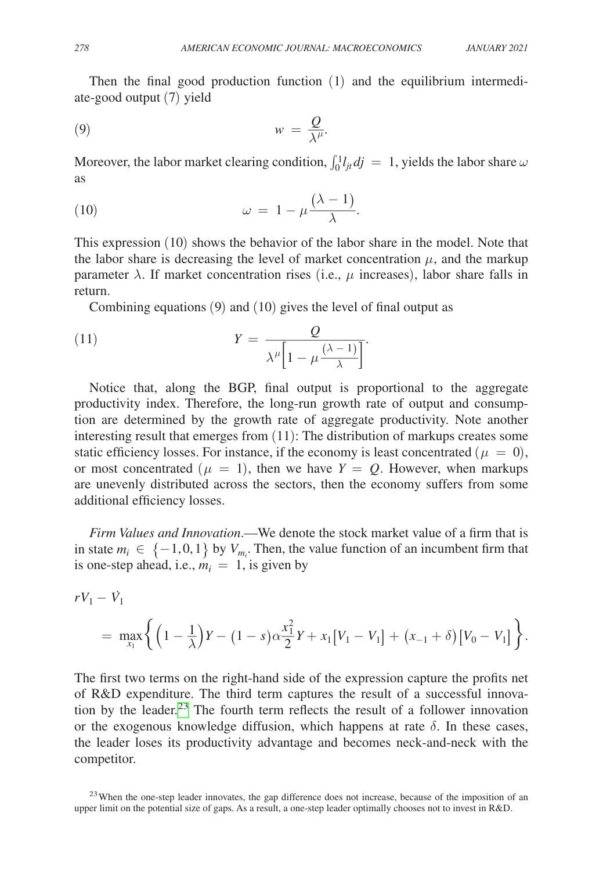Then the final good production function (1) and the equilibrium intermediate-good output (7) yield

$$
(9) \t\t\t w = \frac{Q}{\lambda^{\mu}}.
$$

Moreover, the labor market clearing condition,  $\int_0^1 l_{jt} dj = 1$ , yields the labor share  $\omega$ as

Moreover, the labor market clearing condition, 
$$
\int_0^1 l_{jt} d
$$
  
as  
(10)  $\omega = 1 - \mu \frac{(\lambda - 1)}{\lambda}$ .

This expression (10) shows the behavior of the labor share in the model. Note that the labor share is decreasing the level of market concentration  $\mu$ , and the markup parameter  $\lambda$ . If market concentration rises (i.e.,  $\mu$  increases), labor share falls in return.

Combining equations (9) and (10) gives the level of final output as  
\n(11) 
$$
Y = \frac{Q}{\lambda^{\mu} \left[1 - \mu \frac{(\lambda - 1)}{\lambda}\right]}.
$$

 .Notice that, along the BGP, final output is proportional to the aggregate productivity index. Therefore, the long-run growth rate of output and consumption are determined by the growth rate of aggregate productivity. Note another interesting result that emerges from (11): The distribution of markups creates some static efficiency losses. For instance, if the economy is least concentrated ( $\mu = 0$ ), or most concentrated  $(\mu = 1)$ , then we have  $Y = Q$ . However, when markups are unevenly distributed across the sectors, then the economy suffers from some additional efficiency losses.

*Firm Values and Innovation*.—We denote the stock market value of a firm that is in state  $m_i \in \{-1,0,1\}$  by  $V_{m_i}$ . Then, the value function of an incumbent firm that is one-step ahead, i.e.,  $m_i = 1$ , is given by

$$
rV_1 - \dot{V}_1
$$
  
= 
$$
\max_{x_1} \left\{ \left(1 - \frac{1}{\lambda}\right)Y - (1 - s)\alpha \frac{x_1^2}{2}Y + x_1[V_1 - V_1] + (x_{-1} + \delta)[V_0 - V_1] \right\}.
$$

The first two terms on the right-hand side of the expression capture the profits net of R&D expenditure. The third term captures the result of a successful innovation by the leader.<sup>23</sup> The fourth term reflects the result of a follower innovation or the exogenous knowledge diffusion, which happens at rate  $\delta$ . In these cases, the leader loses its productivity advantage and becomes neck-and-neck with the competitor.

<span id="page-21-0"></span><sup>23</sup> When the one-step leader innovates, the gap difference does not increase, because of the imposition of an upper limit on the potential size of gaps. As a result, a one-step leader optimally chooses not to invest in R&D.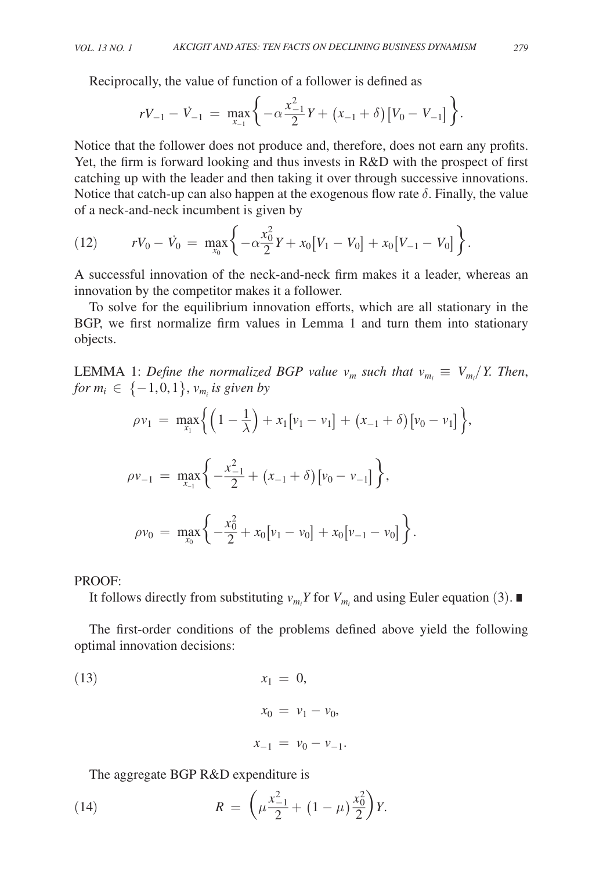Reciprocally, the value of function of a follower is defined as  
\n
$$
rV_{-1} - V_{-1} = \max_{x_{-1}} \left\{ -\alpha \frac{x_{-1}^2}{2} Y + (x_{-1} + \delta) [V_0 - V_{-1}] \right\}.
$$

Notice that the follower does not produce and, therefore, does not earn any profits. Yet, the firm is forward looking and thus invests in R&D with the prospect of first catching up with the leader and then taking it over through successive innovations. Notice that catch-up can also happen at the exogenous flow rate  $\delta$ . Finally, the value of a neck-and-neck incumbent is given by

(12) 
$$
rV_0 - \dot{V}_0 = \max_{x_0} \left\{ -\alpha \frac{x_0^2}{2} Y + x_0 [V_1 - V_0] + x_0 [V_{-1} - V_0] \right\}.
$$

A successful innovation of the neck-and-neck firm makes it a leader, whereas an innovation by the competitor makes it a follower.

To solve for the equilibrium innovation efforts, which are all stationary in the BGP, we first normalize firm values in Lemma 1 and turn them into stationary objects.

LEMMA 1: Define the normalized BGP value  $v_m$  such that  $v_{m_i} \equiv V_{m_i}/Y$ . Then,  $for m_i \in \{-1,0,1\}, v_{m_i}$  is given by

$$
\rho v_1 = \max_{x_1} \left\{ \left( 1 - \frac{1}{\lambda} \right) + x_1 \left[ v_1 - v_1 \right] + \left( x_{-1} + \delta \right) \left[ v_0 - v_1 \right] \right\},
$$
  

$$
\rho v_{-1} = \max_{x_{-1}} \left\{ -\frac{x_{-1}^2}{2} + \left( x_{-1} + \delta \right) \left[ v_0 - v_{-1} \right] \right\},
$$

$$
\rho v_0 = \max_{x_0} \left\{ -\frac{x_0^2}{2} + x_0 \left[ v_1 - v_0 \right] + x_0 \left[ v_{-1} - v_0 \right] \right\}.
$$

PROOF:

It follows directly from substituting  $v_{m_i} Y$  for  $V_{m_i}$  and using Euler equation (3). ■

The first-order conditions of the problems defined above yield the following optimal innovation decisions:

(13) 
$$
x_1 = 0,
$$
  
\n $x_0 = v_1 - v_0,$   
\n $x_{-1} = v_0 - v_{-1}.$ 

The aggregate BGP R&D expenditure is  
(14) 
$$
R = \left(\mu \frac{x_{-1}^2}{2} + (1 - \mu) \frac{x_0^2}{2}\right) Y.
$$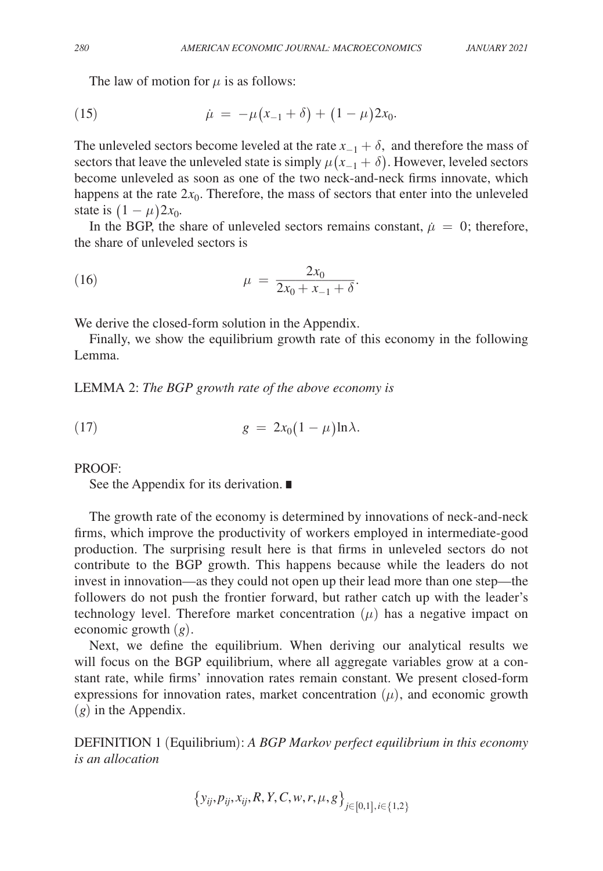The law of motion for  $\mu$  is as follows:

(15) 
$$
\dot{\mu} = -\mu(x_{-1} + \delta) + (1 - \mu)2x_0.
$$

The unleveled sectors become leveled at the rate  $x_{-1} + \delta$ , and therefore the mass of sectors that leave the unleveled state is simply  $\mu(x_{-1} + \delta)$ . However, leveled sectors become unleveled as soon as one of the two neck-and-neck firms innovate, which happens at the rate  $2x_0$ . Therefore, the mass of sectors that enter into the unleveled state is  $(1 - \mu)2x_0$ .

In the BGP, the share of unleveled sectors remains constant,  $\mu = 0$ ; therefore, the share of unleveled sectors is

the share of unieved sectors is  
\n(16) 
$$
\mu = \frac{2x_0}{2x_0 + x_{-1} + \delta}.
$$

We derive the closed-form solution in the Appendix.

Finally, we show the equilibrium growth rate of this economy in the following Lemma.

LEMMA 2: *The BGP growth rate of the above economy is*

$$
(17) \t\t\t g = 2x_0(1-\mu)\ln\lambda.
$$

PROOF:

See the Appendix for its derivation. ∎

The growth rate of the economy is determined by innovations of neck-and-neck firms, which improve the productivity of workers employed in intermediate-good production. The surprising result here is that firms in unleveled sectors do not contribute to the BGP growth. This happens because while the leaders do not invest in innovation—as they could not open up their lead more than one step—the followers do not push the frontier forward, but rather catch up with the leader's technology level. Therefore market concentration  $(\mu)$  has a negative impact on economic growth (*g*).

Next, we define the equilibrium. When deriving our analytical results we will focus on the BGP equilibrium, where all aggregate variables grow at a constant rate, while firms' innovation rates remain constant. We present closed-form expressions for innovation rates, market concentration  $(\mu)$ , and economic growth (*g*) in the Appendix.

DEFINITION 1 (Equilibrium): *A BGP Markov perfect equilibrium in this economy is an allocation*

$$
\{y_{ij}, p_{ij}, x_{ij}, R, Y, C, w, r, \mu, g\}_{j \in [0,1], i \in \{1,2\}}
$$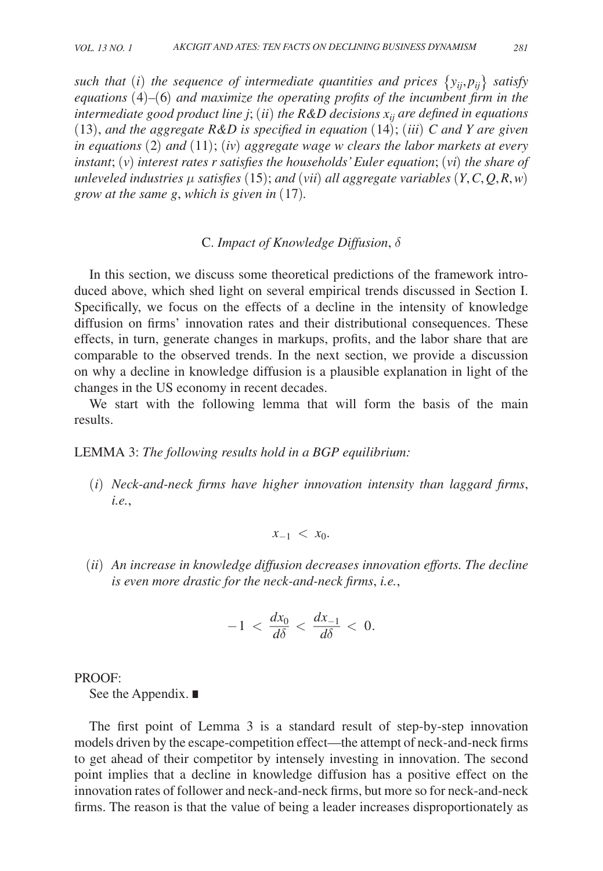*such that (i) the sequence of intermediate quantities and prices*  $\{y_{ij}, p_{ij}\}\$  *satisfy equations* (4)*–*(6) *and maximize the operating profits of the incumbent firm in the intermediate good product line j*; (*ii*) *the R&D decisions xij are defined in equations*   $(13)$ *, and the aggregate R&D is specified in equation*  $(14)$ *; (iii) C and Y are given in equations* (2) *and* (11); (*iv*) *aggregate wage w clears the labor markets at every instant*; (*v*) *interest rates r satisfies the households' Euler equation*; (*vi*) *the share of unleveled industries* μ *satisfies* (15); *and* (*vii*) *all aggregate variables* (*Y*,*C*,*Q*,*R*,*w*) *grow at the same g*, *which is given in* (17)*.*

## C. *Impact of Knowledge Diffusion*, δ

In this section, we discuss some theoretical predictions of the framework introduced above, which shed light on several empirical trends discussed in Section I. Specifically, we focus on the effects of a decline in the intensity of knowledge diffusion on firms' innovation rates and their distributional consequences. These effects, in turn, generate changes in markups, profits, and the labor share that are comparable to the observed trends. In the next section, we provide a discussion on why a decline in knowledge diffusion is a plausible explanation in light of the changes in the US economy in recent decades.

We start with the following lemma that will form the basis of the main results.

#### LEMMA 3: *The following results hold in a BGP equilibrium:*

(*i*) *Neck-and-neck firms have higher innovation intensity than laggard firms*, *i.e.*,

$$
x_{-1} < x_0.
$$

(*ii*) *An increase in knowledge diffusion decreases innovation efforts. The decline is even more drastic for the neck-and-neck firms*, *i.e.*,

$$
-1 < \frac{dx_0}{d\delta} < \frac{dx_{-1}}{d\delta} < 0.
$$

PROOF:

See the Appendix. ∎

The first point of Lemma 3 is a standard result of step-by-step innovation models driven by the escape-competition effect—the attempt of neck-and-neck firms to get ahead of their competitor by intensely investing in innovation. The second point implies that a decline in knowledge diffusion has a positive effect on the innovation rates of follower and neck-and-neck firms, but more so for neck-and-neck firms. The reason is that the value of being a leader increases disproportionately as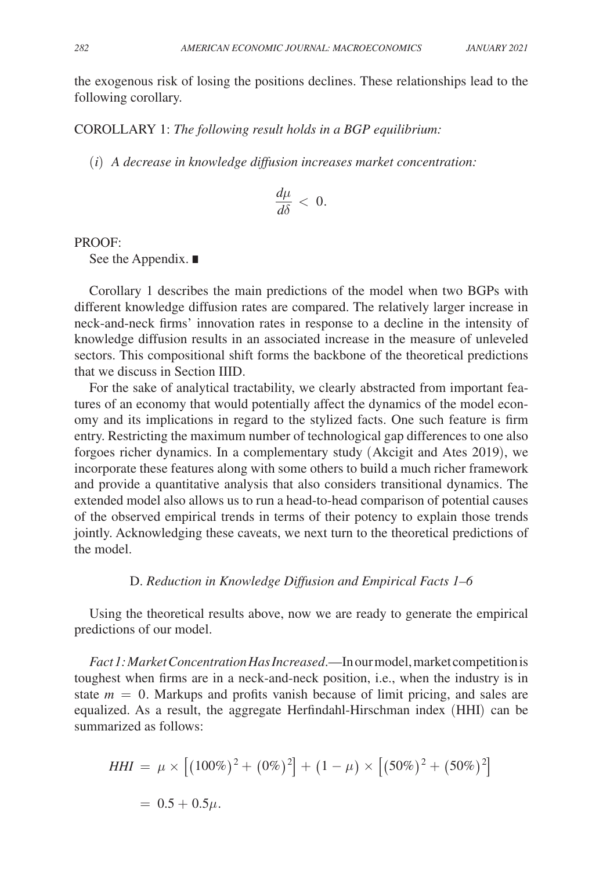the exogenous risk of losing the positions declines. These relationships lead to the following corollary.

COROLLARY 1: *The following result holds in a BGP equilibrium:*

(*i*) *A decrease in knowledge diffusion increases market concentration:*

$$
\frac{d\mu}{d\delta} < 0.
$$

PROOF:

See the Appendix. ∎

Corollary 1 describes the main predictions of the model when two BGPs with different knowledge diffusion rates are compared. The relatively larger increase in neck-and-neck firms' innovation rates in response to a decline in the intensity of knowledge diffusion results in an associated increase in the measure of unleveled sectors. This compositional shift forms the backbone of the theoretical predictions that we discuss in Section IIID.

For the sake of analytical tractability, we clearly abstracted from important features of an economy that would potentially affect the dynamics of the model economy and its implications in regard to the stylized facts. One such feature is firm entry. Restricting the maximum number of technological gap differences to one also forgoes richer dynamics. In a complementary study (Akcigit and Ates 2019), we incorporate these features along with some others to build a much richer framework and provide a quantitative analysis that also considers transitional dynamics. The extended model also allows us to run a head-to-head comparison of potential causes of the observed empirical trends in terms of their potency to explain those trends jointly. Acknowledging these caveats, we next turn to the theoretical predictions of the model.

## D. *Reduction in Knowledge Diffusion and Empirical Facts 1–6*

Using the theoretical results above, now we are ready to generate the empirical predictions of our model.

*Fact 1: Market Concentration Has Increased*.—In our model, market competition is toughest when firms are in a neck-and-neck position, i.e., when the industry is in state  $m = 0$ . Markups and profits vanish because of limit pricing, and sales are equalized. As a result, the aggregate Herfindahl-Hirschman index (HHI) can be summarized as follows:

$$
HHI = \mu \times [(100\%)^2 + (0\%)^2] + (1 - \mu) \times [(50\%)^2 + (50\%)^2]
$$
  
= 0.5 + 0.5 $\mu$ .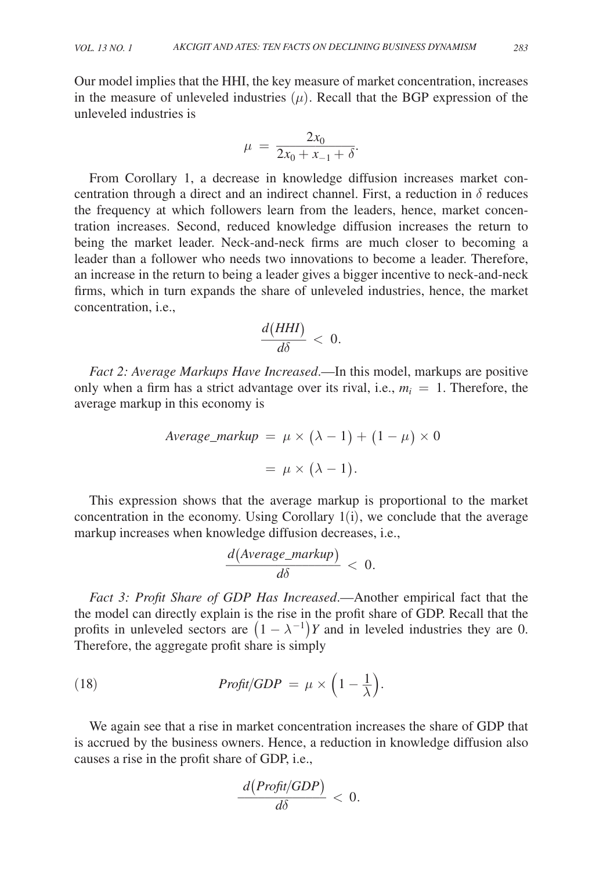Our model implies that the HHI, the key measure of market concentration, increases in the measure of unleveled industries  $(\mu)$ . Recall that the BGP expression of the unleveled industries is unleveled industries is<br>  $\mu = \frac{2x_0}{2x_0 + x_{-1} + \delta}.$ 

$$
\mu = \frac{2x_0}{2x_0 + x_{-1} + \delta}.
$$

From Corollary 1, a decrease in knowledge diffusion increases market concentration through a direct and an indirect channel. First, a reduction in  $\delta$  reduces the frequency at which followers learn from the leaders, hence, market concentration increases. Second, reduced knowledge diffusion increases the return to being the market leader. Neck-and-neck firms are much closer to becoming a leader than a follower who needs two innovations to become a leader. Therefore, an increase in the return to being a leader gives a bigger incentive to neck-and-neck firms, which in turn expands the share of unleveled industries, hence, the market concentration, i.e.,  $\frac{d(HHI)}{d\delta} < 0$ . firms, which in turn expands the share of unleveled industries, hence, the market concentration, i.e.,

$$
\frac{d(HHI)}{d\delta} < 0.
$$

*Fact 2: Average Markups Have Increased*.—In this model, markups are positive only when a firm has a strict advantage over its rival, i.e.,  $m_i = 1$ . Therefore, the average markup in this economy is

$$
Average\_markup = \mu \times (\lambda - 1) + (1 - \mu) \times 0
$$

$$
= \mu \times (\lambda - 1).
$$

This expression shows that the average markup is proportional to the market concentration in the economy. Using Corollary 1(i), we conclude that the average markup increases when knowledge diffusion decreases, i.e.,  $\frac{d(Average\_markup)}{d\delta} < 0$ . markup increases when knowledge diffusion decreases, i.e.,

$$
\frac{d(Average\_markup)}{d\delta} < 0.
$$

*Fact 3: Profit Share of GDP Has Increased*.—Another empirical fact that the the model can directly explain is the rise in the profit share of GDP. Recall that the profits in unleveled sectors are  $(1 - \lambda^{-1})Y$  and in leveled industries they are 0. Therefore, the aggregate profit share is simply

(18) 
$$
Profit/GDP = \mu \times \left(1 - \frac{1}{\lambda}\right).
$$

We again see that a rise in market concentration increases the share of GDP that is accrued by the business owners. Hence, a reduction in knowledge diffusion also causes a rise in the profit share of GDP, i.e.,<br> $\frac{d(Profit/GDP)}{d\delta}$ 

$$
\frac{d(Profit/GDP)}{d\delta} < 0.
$$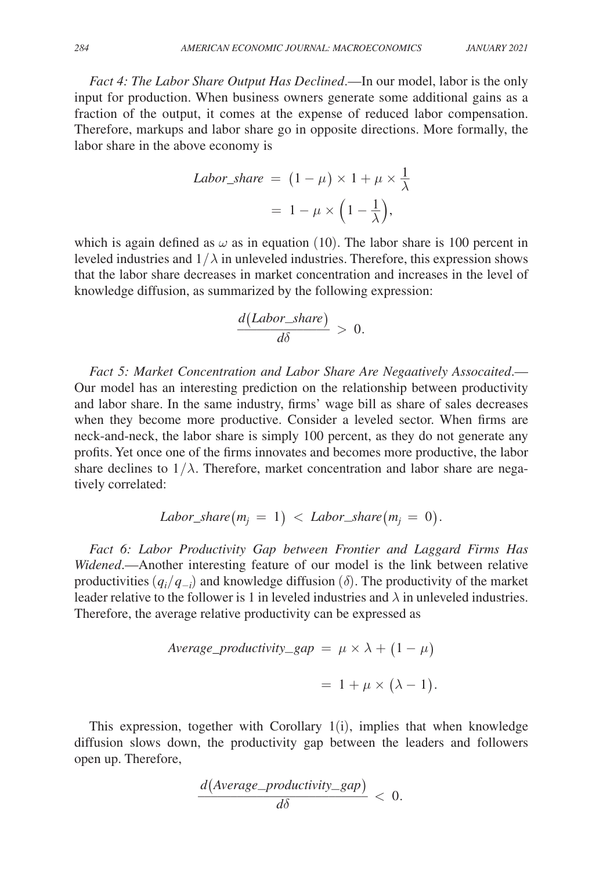*Fact 4: The Labor Share Output Has Declined*.—In our model, labor is the only input for production. When business owners generate some additional gains as a fraction of the output, it comes at the expense of reduced labor compensation. Therefore, markups and labor share go in opposite directions. More formally, the labor share in the above economy is

$$
Labor\_share = (1 - \mu) \times 1 + \mu \times \frac{1}{\lambda}
$$

$$
= 1 - \mu \times \left(1 - \frac{1}{\lambda}\right),
$$

which is again defined as  $\omega$  as in equation (10). The labor share is 100 percent in leveled industries and  $1/\lambda$  in unleveled industries. Therefore, this expression shows that the labor share decreases in market concentration and increases in the level of knowledge diffusion, as summarized by the following expression:<br> $\frac{d(Labor\_share)}{d\delta} > 0.$ 

$$
\frac{d(Labor\_share)}{d\delta} > 0
$$

Fact 5: Market Concentration and Labor Share Are Negaatively Assocaited.— Our model has an interesting prediction on the relationship between productivity and labor share. In the same industry, firms' wage bill as share of sales decreases when they become more productive. Consider a leveled sector. When firms are neck-and-neck, the labor share is simply 100 percent, as they do not generate any profits. Yet once one of the firms innovates and becomes more productive, the labor share declines to  $1/\lambda$ . Therefore, market concentration and labor share are negatively correlated:

$$
Labor\_share(m_j = 1) < Labor\_share(m_j = 0).
$$

*Fact 6: Labor Productivity Gap between Frontier and Laggard Firms Has Widened*.—Another interesting feature of our model is the link between relative productivities  $(q_i/q_{-i})$  and knowledge diffusion ( $\delta$ ). The productivity of the market leader relative to the follower is 1 in leveled industries and  $\lambda$  in unleveled industries. Therefore, the average relative productivity can be expressed as

$$
Average\_productivity\_gap = \mu \times \lambda + (1 - \mu)
$$

$$
= 1 + \mu \times (\lambda - 1).
$$

This expression, together with Corollary  $1(i)$ , implies that when knowledge diffusion slows down, the productivity gap between the leaders and followers open up. Therefore,<br>  $\frac{d(Average\_productivity\_gap)}{d\delta} < 0.$ open up. Therefore,

$$
\frac{d(Average\_productivity\_gap)}{d\delta} < 0.
$$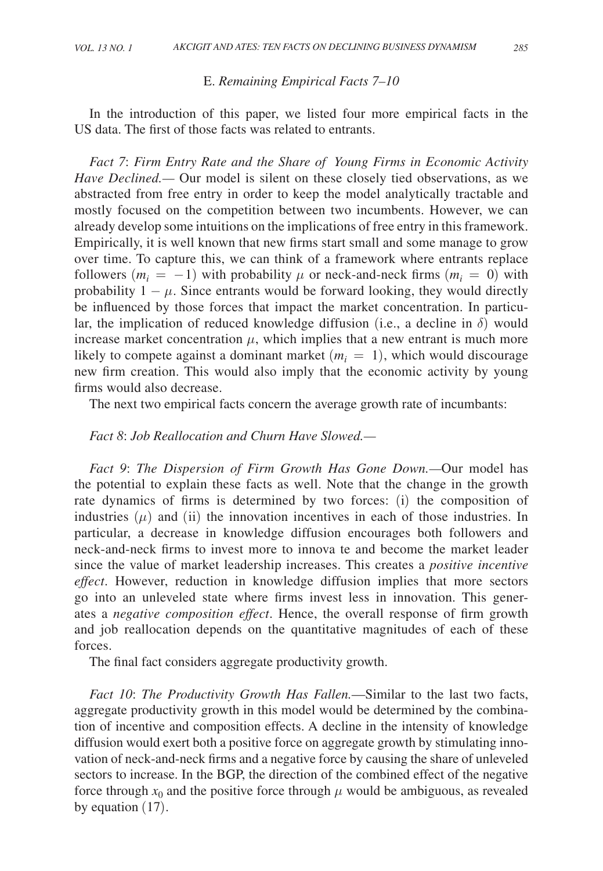#### E. *Remaining Empirical Facts 7–10*

In the introduction of this paper, we listed four more empirical facts in the US data. The first of those facts was related to entrants.

*Fact 7*: *Firm Entry Rate and the Share of Young Firms in Economic Activity Have Declined.—* Our model is silent on these closely tied observations, as we abstracted from free entry in order to keep the model analytically tractable and mostly focused on the competition between two incumbents. However, we can already develop some intuitions on the implications of free entry in this framework. Empirically, it is well known that new firms start small and some manage to grow over time. To capture this, we can think of a framework where entrants replace followers  $(m_i = -1)$  with probability  $\mu$  or neck-and-neck firms  $(m_i = 0)$  with probability  $1 - \mu$ . Since entrants would be forward looking, they would directly be influenced by those forces that impact the market concentration. In particular, the implication of reduced knowledge diffusion (i.e., a decline in  $\delta$ ) would increase market concentration  $\mu$ , which implies that a new entrant is much more likely to compete against a dominant market  $(m<sub>i</sub> = 1)$ , which would discourage new firm creation. This would also imply that the economic activity by young firms would also decrease.

The next two empirical facts concern the average growth rate of incumbants:

# *Fact 8*: *Job Reallocation and Churn Have Slowed.—*

*Fact 9*: *The Dispersion of Firm Growth Has Gone Down.—*Our model has the potential to explain these facts as well. Note that the change in the growth rate dynamics of firms is determined by two forces: (i) the composition of industries  $(\mu)$  and (ii) the innovation incentives in each of those industries. In particular, a decrease in knowledge diffusion encourages both followers and neck-and-neck firms to invest more to innova te and become the market leader since the value of market leadership increases. This creates a *positive incentive effect*. However, reduction in knowledge diffusion implies that more sectors go into an unleveled state where firms invest less in innovation. This generates a *negative composition effect*. Hence, the overall response of firm growth and job reallocation depends on the quantitative magnitudes of each of these forces.

The final fact considers aggregate productivity growth.

*Fact 10*: *The Productivity Growth Has Fallen.*—Similar to the last two facts, aggregate productivity growth in this model would be determined by the combination of incentive and composition effects. A decline in the intensity of knowledge diffusion would exert both a positive force on aggregate growth by stimulating innovation of neck-and-neck firms and a negative force by causing the share of unleveled sectors to increase. In the BGP, the direction of the combined effect of the negative force through  $x_0$  and the positive force through  $\mu$  would be ambiguous, as revealed by equation (17).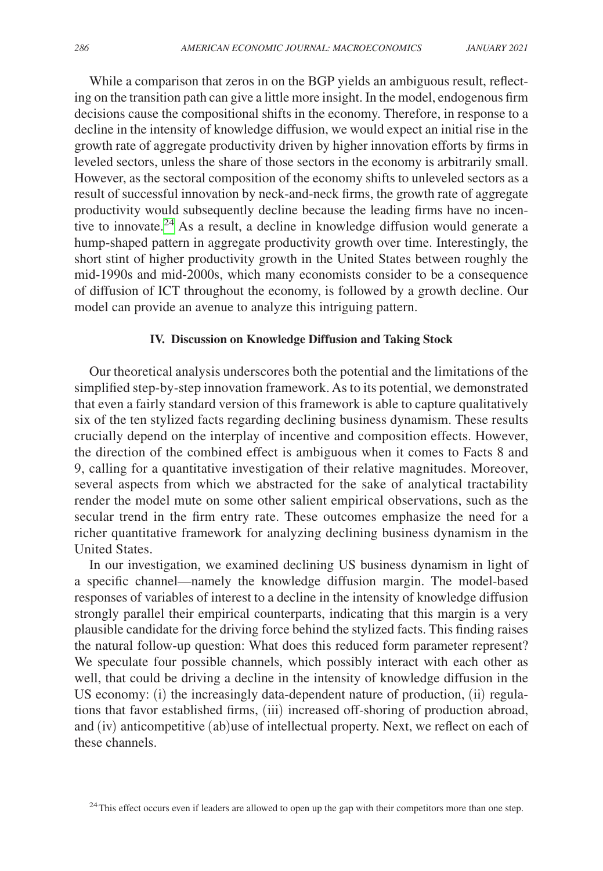While a comparison that zeros in on the BGP yields an ambiguous result, reflecting on the transition path can give a little more insight. In the model, endogenous firm decisions cause the compositional shifts in the economy. Therefore, in response to a decline in the intensity of knowledge diffusion, we would expect an initial rise in the growth rate of aggregate productivity driven by higher innovation efforts by firms in leveled sectors, unless the share of those sectors in the economy is arbitrarily small. However, as the sectoral composition of the economy shifts to unleveled sectors as a result of successful innovation by neck-and-neck firms, the growth rate of aggregate productivity would subsequently decline because the leading firms have no incentive to innovate.<sup>24</sup> As a result, a decline in knowledge diffusion would generate a hump-shaped pattern in aggregate productivity growth over time. Interestingly, the short stint of higher productivity growth in the United States between roughly the mid-1990s and mid-2000s, which many economists consider to be a consequence of diffusion of ICT throughout the economy, is followed by a growth decline. Our model can provide an avenue to analyze this intriguing pattern.

## **IV. Discussion on Knowledge Diffusion and Taking Stock**

Our theoretical analysis underscores both the potential and the limitations of the simplified step-by-step innovation framework. As to its potential, we demonstrated that even a fairly standard version of this framework is able to capture qualitatively six of the ten stylized facts regarding declining business dynamism. These results crucially depend on the interplay of incentive and composition effects. However, the direction of the combined effect is ambiguous when it comes to Facts 8 and 9, calling for a quantitative investigation of their relative magnitudes. Moreover, several aspects from which we abstracted for the sake of analytical tractability render the model mute on some other salient empirical observations, such as the secular trend in the firm entry rate. These outcomes emphasize the need for a richer quantitative framework for analyzing declining business dynamism in the United States.

In our investigation, we examined declining US business dynamism in light of a specific channel—namely the knowledge diffusion margin. The model-based responses of variables of interest to a decline in the intensity of knowledge diffusion strongly parallel their empirical counterparts, indicating that this margin is a very plausible candidate for the driving force behind the stylized facts. This finding raises the natural follow-up question: What does this reduced form parameter represent? We speculate four possible channels, which possibly interact with each other as well, that could be driving a decline in the intensity of knowledge diffusion in the US economy: (i) the increasingly data-dependent nature of production, (ii) regulations that favor established firms, (iii) increased off-shoring of production abroad, and (iv) anticompetitive (ab)use of intellectual property. Next, we reflect on each of these channels.

<span id="page-29-0"></span><sup>24</sup>This effect occurs even if leaders are allowed to open up the gap with their competitors more than one step.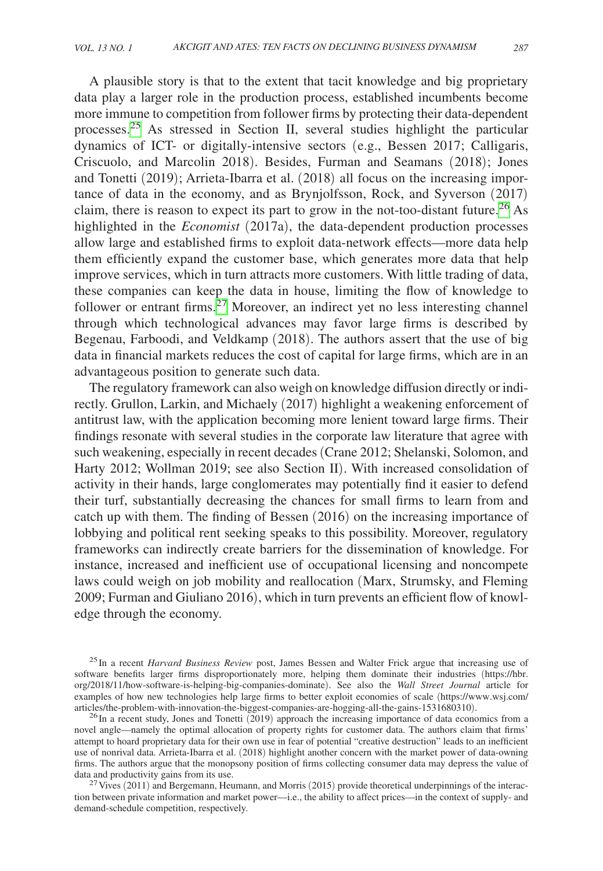A plausible story is that to the extent that tacit knowledge and big proprietary data play a larger role in the production process, established incumbents become more immune to competition from follower firms by protecting their data-dependent processes.[25](#page-30-0) As stressed in Section II, several studies highlight the particular dynamics of ICT- or digitally-intensive sectors (e.g., Bessen 2017; Calligaris, Criscuolo, and Marcolin 2018). Besides, Furman and Seamans (2018); Jones and Tonetti (2019); Arrieta-Ibarra et al. (2018) all focus on the increasing importance of data in the economy, and as Brynjolfsson, Rock, and Syverson (2017) claim, there is reason to expect its part to grow in the not-too-distant future.<sup>[26](#page-30-1)</sup> As highlighted in the *Economist* (2017a), the data-dependent production processes allow large and established firms to exploit data-network effects—more data help them efficiently expand the customer base, which generates more data that help improve services, which in turn attracts more customers. With little trading of data, these companies can keep the data in house, limiting the flow of knowledge to follower or entrant firms. $27$  Moreover, an indirect yet no less interesting channel through which technological advances may favor large firms is described by Begenau, Farboodi, and Veldkamp (2018). The authors assert that the use of big data in financial markets reduces the cost of capital for large firms, which are in an advantageous position to generate such data.

The regulatory framework can also weigh on knowledge diffusion directly or indirectly. Grullon, Larkin, and Michaely (2017) highlight a weakening enforcement of antitrust law, with the application becoming more lenient toward large firms. Their findings resonate with several studies in the corporate law literature that agree with such weakening, especially in recent decades (Crane 2012; Shelanski, Solomon, and Harty 2012; Wollman 2019; see also Section II). With increased consolidation of activity in their hands, large conglomerates may potentially find it easier to defend their turf, substantially decreasing the chances for small firms to learn from and catch up with them. The finding of Bessen (2016) on the increasing importance of lobbying and political rent seeking speaks to this possibility. Moreover, regulatory frameworks can indirectly create barriers for the dissemination of knowledge. For instance, increased and inefficient use of occupational licensing and noncompete laws could weigh on job mobility and reallocation (Marx, Strumsky, and Fleming 2009; Furman and Giuliano 2016), which in turn prevents an efficient flow of knowledge through the economy.

<span id="page-30-0"></span>25In a recent *Harvard Business Review* post, James Bessen and Walter Frick argue that increasing use of software benefits larger firms disproportionately more, helping them dominate their industries ([https://hbr.](https://hbr.org/2018/11/how-software-is-helping-big-companies-dominate) [org/2018/11/how-software-is-helping-big-companies-dominate](https://hbr.org/2018/11/how-software-is-helping-big-companies-dominate)). See also the *Wall Street Journal* article for examples of how new technologies help large firms to better exploit economies of scale ([https://www.wsj.com/](https://www.wsj.com/articles/the-problem-with-innovation-the-biggest-companies-are-hogging-all-the-gains-1531680310)<br>articles/the-problem-with-innovation-the-biggest-companies-are-hogging-all-the-gains-1531680310).

<span id="page-30-1"></span> $^{26}$ In a recent study, Jones and Tonetti (2019) approach the increasing importance of data economics from a novel angle—namely the optimal allocation of property rights for customer data. The authors claim that firms' attempt to hoard proprietary data for their own use in fear of potential "creative destruction" leads to an inefficient use of nonrival data. Arrieta-Ibarra et al. (2018) highlight another concern with the market power of data-owning firms. The authors argue that the monopsony position of firms collecting consumer data may depress the value of data and productivity gains from its use.<br><sup>27</sup> Vives (2011) and Bergemann, Heumann, and Morris (2015) provide theoretical underpinnings of the interac-

<span id="page-30-2"></span>tion between private information and market power—i.e., the ability to affect prices—in the context of supply- and demand-schedule competition, respectively.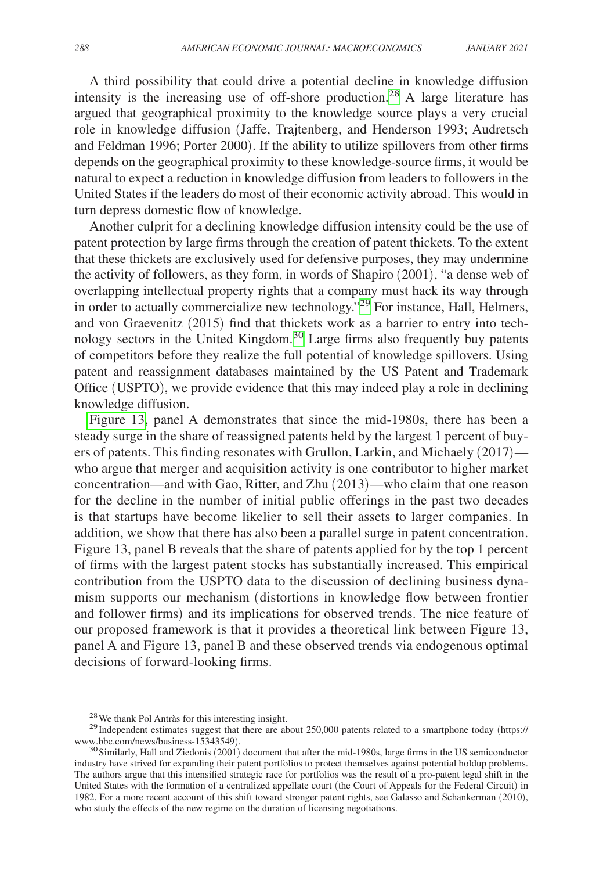A third possibility that could drive a potential decline in knowledge diffusion intensity is the increasing use of off-shore production.<sup>28</sup> A large literature has argued that geographical proximity to the knowledge source plays a very crucial role in knowledge diffusion (Jaffe, Trajtenberg, and Henderson 1993; Audretsch and Feldman 1996; Porter 2000). If the ability to utilize spillovers from other firms depends on the geographical proximity to these knowledge-source firms, it would be natural to expect a reduction in knowledge diffusion from leaders to followers in the United States if the leaders do most of their economic activity abroad. This would in turn depress domestic flow of knowledge.

Another culprit for a declining knowledge diffusion intensity could be the use of patent protection by large firms through the creation of patent thickets. To the extent that these thickets are exclusively used for defensive purposes, they may undermine the activity of followers, as they form, in words of Shapiro (2001), "a dense web of overlapping intellectual property rights that a company must hack its way through in order to actually commercialize new technology.["29](#page-31-1) For instance, Hall, Helmers, and von Graevenitz (2015) find that thickets work as a barrier to entry into technology sectors in the United Kingdom.[30](#page-31-2) Large firms also frequently buy patents of competitors before they realize the full potential of knowledge spillovers. Using patent and reassignment databases maintained by the US Patent and Trademark Office (USPTO), we provide evidence that this may indeed play a role in declining knowledge diffusion.

[Figure 13,](#page-32-0) panel A demonstrates that since the mid-1980s, there has been a steady surge in the share of reassigned patents held by the largest 1 percent of buyers of patents. This finding resonates with Grullon, Larkin, and Michaely (2017) who argue that merger and acquisition activity is one contributor to higher market concentration—and with Gao, Ritter, and Zhu (2013)—who claim that one reason for the decline in the number of initial public offerings in the past two decades is that startups have become likelier to sell their assets to larger companies. In addition, we show that there has also been a parallel surge in patent concentration. Figure 13, panel B reveals that the share of patents applied for by the top 1 percent of firms with the largest patent stocks has substantially increased. This empirical contribution from the USPTO data to the discussion of declining business dynamism supports our mechanism (distortions in knowledge flow between frontier and follower firms) and its implications for observed trends. The nice feature of our proposed framework is that it provides a theoretical link between Figure 13, panel A and Figure 13, panel B and these observed trends via endogenous optimal decisions of forward-looking firms.

<span id="page-31-1"></span><span id="page-31-0"></span>

<sup>&</sup>lt;sup>28</sup>We thank Pol Antràs for this interesting insight.<br><sup>29</sup>Independent estimates suggest that there are about 250,000 patents related to a smartphone today ([https://](https://www.bbc.com/news/business-15343549)<br>www.bbc.com/news/business-15343549).

<span id="page-31-2"></span> $30$  Similarly, Hall and Ziedonis (2001) document that after the mid-1980s, large firms in the US semiconductor industry have strived for expanding their patent portfolios to protect themselves against potential holdup problems. The authors argue that this intensified strategic race for portfolios was the result of a pro-patent legal shift in the United States with the formation of a centralized appellate court (the Court of Appeals for the Federal Circuit) in 1982. For a more recent account of this shift toward stronger patent rights, see Galasso and Schankerman (2010), who study the effects of the new regime on the duration of licensing negotiations.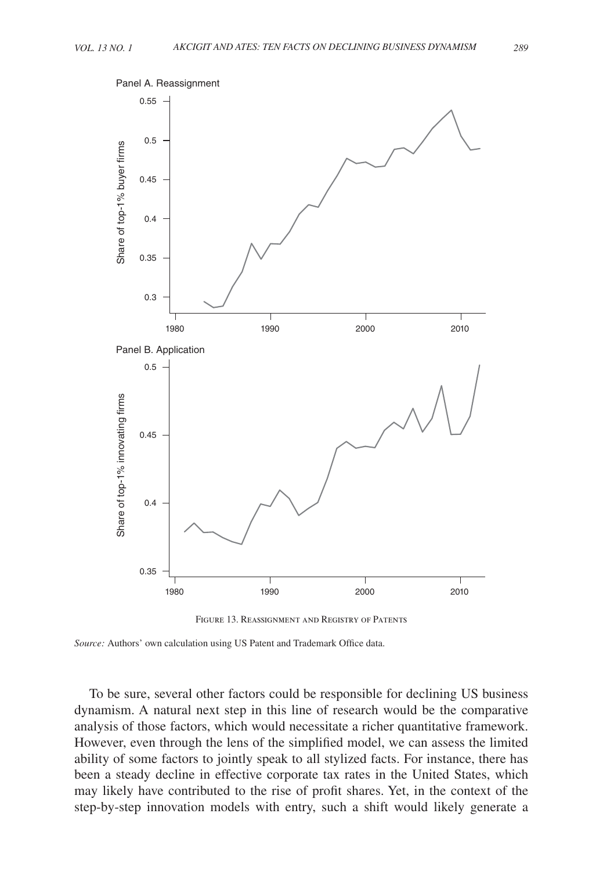<span id="page-32-0"></span>

Figure 13. Reassignment and Registry of Patents

*Source:* Authors' own calculation using US Patent and Trademark Office data.

To be sure, several other factors could be responsible for declining US business dynamism. A natural next step in this line of research would be the comparative analysis of those factors, which would necessitate a richer quantitative framework. However, even through the lens of the simplified model, we can assess the limited ability of some factors to jointly speak to all stylized facts. For instance, there has been a steady decline in effective corporate tax rates in the United States, which may likely have contributed to the rise of profit shares. Yet, in the context of the step-by-step innovation models with entry, such a shift would likely generate a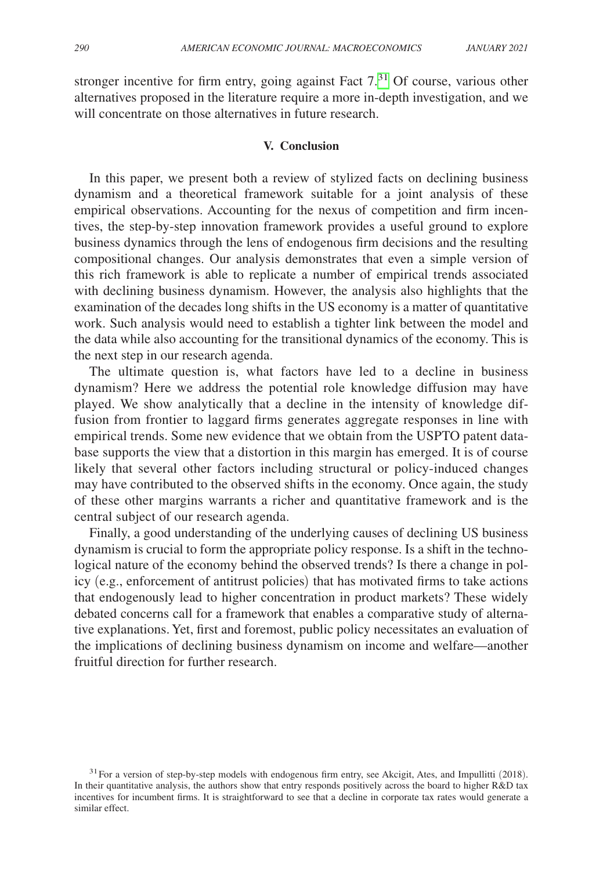stronger incentive for firm entry, going against Fact  $7<sup>31</sup>$  $7<sup>31</sup>$  $7<sup>31</sup>$  Of course, various other alternatives proposed in the literature require a more in-depth investigation, and we will concentrate on those alternatives in future research.

## **V. Conclusion**

In this paper, we present both a review of stylized facts on declining business dynamism and a theoretical framework suitable for a joint analysis of these empirical observations. Accounting for the nexus of competition and firm incentives, the step-by-step innovation framework provides a useful ground to explore business dynamics through the lens of endogenous firm decisions and the resulting compositional changes. Our analysis demonstrates that even a simple version of this rich framework is able to replicate a number of empirical trends associated with declining business dynamism. However, the analysis also highlights that the examination of the decades long shifts in the US economy is a matter of quantitative work. Such analysis would need to establish a tighter link between the model and the data while also accounting for the transitional dynamics of the economy. This is the next step in our research agenda.

The ultimate question is, what factors have led to a decline in business dynamism? Here we address the potential role knowledge diffusion may have played. We show analytically that a decline in the intensity of knowledge diffusion from frontier to laggard firms generates aggregate responses in line with empirical trends. Some new evidence that we obtain from the USPTO patent database supports the view that a distortion in this margin has emerged. It is of course likely that several other factors including structural or policy-induced changes may have contributed to the observed shifts in the economy. Once again, the study of these other margins warrants a richer and quantitative framework and is the central subject of our research agenda.

Finally, a good understanding of the underlying causes of declining US business dynamism is crucial to form the appropriate policy response. Is a shift in the technological nature of the economy behind the observed trends? Is there a change in policy (e.g., enforcement of antitrust policies) that has motivated firms to take actions that endogenously lead to higher concentration in product markets? These widely debated concerns call for a framework that enables a comparative study of alternative explanations. Yet, first and foremost, public policy necessitates an evaluation of the implications of declining business dynamism on income and welfare—another fruitful direction for further research.

<span id="page-33-0"></span> $31$  For a version of step-by-step models with endogenous firm entry, see Akcigit, Ates, and Impullitti (2018). In their quantitative analysis, the authors show that entry responds positively across the board to higher R&D tax incentives for incumbent firms. It is straightforward to see that a decline in corporate tax rates would generate a similar effect.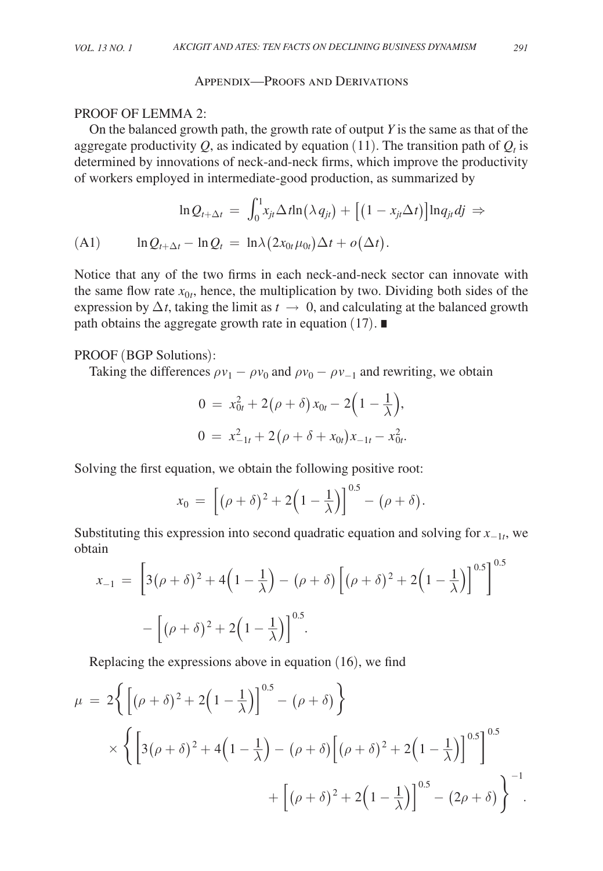## Appendix—Proofs and Derivations

## PROOF OF LEMMA 2:

On the balanced growth path, the growth rate of output *Y* is the same as that of the aggregate productivity  $Q$ , as indicated by equation (11). The transition path of  $Q_t$  is determined by innovations of neck-and-neck firms, which improve the productivity of workers employed in intermediate-good production, as summarized by

$$
\ln Q_{t+\Delta t} = \int_0^1 x_{jt} \Delta t \ln(\lambda q_{jt}) + [(1 - x_{jt} \Delta t)] \ln q_{jt} dj \Rightarrow
$$
  
(A1) 
$$
\ln Q_{t+\Delta t} - \ln Q_t = \ln \lambda (2x_{0t} \mu_{0t}) \Delta t + o(\Delta t).
$$

Notice that any of the two firms in each neck-and-neck sector can innovate with the same flow rate  $x_{0t}$ , hence, the multiplication by two. Dividing both sides of the expression by  $\Delta t$ , taking the limit as  $t \to 0$ , and calculating at the balanced growth path obtains the aggregate growth rate in equation (17). ∎

# PROOF (BGP Solutions):

Taking the differences  $\rho v_1 - \rho v_0$  and  $\rho v_0 - \rho v_{-1}$  and rewriting, we obtain

$$
0 = x_{0t}^{2} + 2(\rho + \delta) x_{0t} - 2(1 - \frac{1}{\lambda}),
$$
  
\n
$$
0 = x_{-1t}^{2} + 2(\rho + \delta + x_{0t})x_{-1t} - x_{0t}^{2}.
$$

Solving the first equation, we obtain the following positive root:

$$
x_0 = \left[ (\rho + \delta)^2 + 2\left(1 - \frac{1}{\lambda}\right) \right]^{0.5} - (\rho + \delta).
$$

Substituting this expression into second quadratic equation and solving for *x*−1*t*, we obtain  $\sim$ 

$$
x_{-1} = \left[3(\rho + \delta)^2 + 4\left(1 - \frac{1}{\lambda}\right) - (\rho + \delta)\left[(\rho + \delta)^2 + 2\left(1 - \frac{1}{\lambda}\right)\right]^{0.5}\right]^{0.5}
$$

$$
-\left[(\rho + \delta)^2 + 2\left(1 - \frac{1}{\lambda}\right)\right]^{0.5}.
$$

Replacing the expressions above in equation (16), we find

$$
\mu = 2\left\{ \left[ (\rho + \delta)^2 + 2\left(1 - \frac{1}{\lambda}\right) \right]^{0.5} - (\rho + \delta) \right\}
$$
  
\$\times \left\{ \left[ 3(\rho + \delta)^2 + 4\left(1 - \frac{1}{\lambda}\right) - (\rho + \delta) \left[ (\rho + \delta)^2 + 2\left(1 - \frac{1}{\lambda}\right) \right]^{0.5} \right\}^{0.5}\$  
\$+ \left[ (\rho + \delta)^2 + 2\left(1 - \frac{1}{\lambda}\right) \right]^{0.5} - (2\rho + \delta) \right\}^{-1}\$.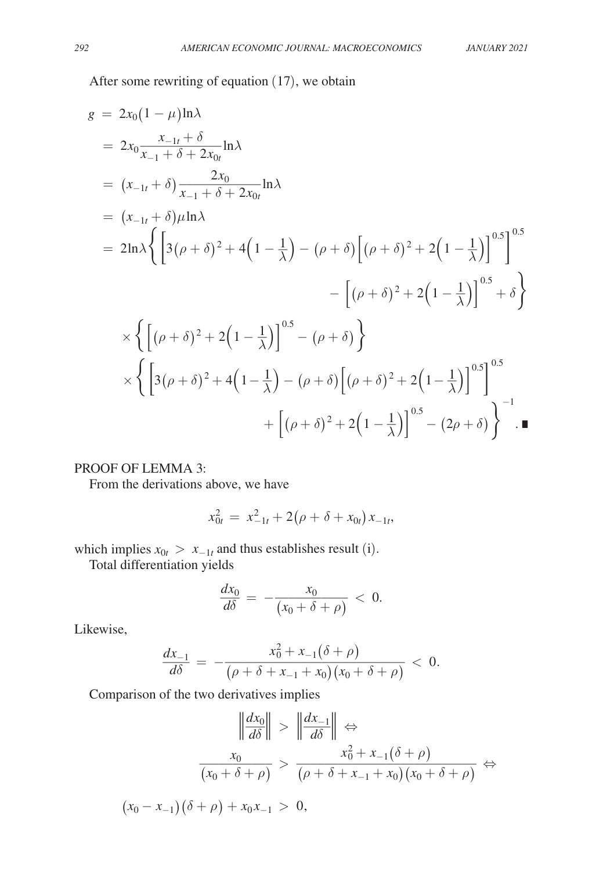After some rewriting of equation (17), we obtain

$$
g = 2x_0(1 - \mu)\ln\lambda
$$
  
\n
$$
= 2x_0 \frac{x_{-1t} + \delta}{x_{-1} + \delta + 2x_{0t}} \ln\lambda
$$
  
\n
$$
= (x_{-1t} + \delta)\frac{2x_0}{x_{-1} + \delta + 2x_{0t}} \ln\lambda
$$
  
\n
$$
= (x_{-1t} + \delta)\mu\ln\lambda
$$
  
\n
$$
= 2\ln\lambda \left\{ \left[ 3(\rho + \delta)^2 + 4\left( 1 - \frac{1}{\lambda} \right) - (\rho + \delta) \left[ (\rho + \delta)^2 + 2\left( 1 - \frac{1}{\lambda} \right) \right]^{0.5} \right\}^{0.5}
$$
  
\n
$$
\times \left\{ \left[ (\rho + \delta)^2 + 2\left( 1 - \frac{1}{\lambda} \right) \right]^{0.5} - (\rho + \delta) \right\}
$$
  
\n
$$
\times \left\{ \left[ 3(\rho + \delta)^2 + 4\left( 1 - \frac{1}{\lambda} \right) - (\rho + \delta) \left[ (\rho + \delta)^2 + 2\left( 1 - \frac{1}{\lambda} \right) \right]^{0.5} \right\}^{0.5}
$$
  
\n
$$
+ \left[ (\rho + \delta)^2 + 2\left( 1 - \frac{1}{\lambda} \right) \right]^{0.5} - (2\rho + \delta) \right\}^{-1}
$$

# PROOF OF LEMMA 3:

From the derivations above, we have

$$
x_{0t}^2 = x_{-1t}^2 + 2(\rho + \delta + x_{0t})x_{-1t},
$$

which implies  $x_{0t} > x_{-1t}$  and thus establishes result (i).

Total differentiation yields

$$
\frac{dx_0}{d\delta} = -\frac{x_0}{(x_0 + \delta + \rho)} < 0.
$$

Likewise,

$$
\frac{d}{d\delta} = -\frac{1}{(x_0 + \delta + \rho)} < 0.
$$
\n
$$
\frac{dx_{-1}}{d\delta} = -\frac{x_0^2 + x_{-1}(\delta + \rho)}{(\rho + \delta + x_{-1} + x_0)(x_0 + \delta + \rho)} < 0.
$$

Comparison of the two derivatives implies  
\n
$$
\left\| \frac{dx_0}{d\delta} \right\| > \left\| \frac{dx_{-1}}{d\delta} \right\| \Leftrightarrow
$$
\n
$$
\frac{x_0}{(x_0 + \delta + \rho)} > \frac{x_0^2 + x_{-1}(\delta + \rho)}{(\rho + \delta + x_{-1} + x_0)(x_0 + \delta + \rho)} \Leftrightarrow
$$
\n
$$
(x_0 - x_{-1})(\delta + \rho) + x_0 x_{-1} > 0,
$$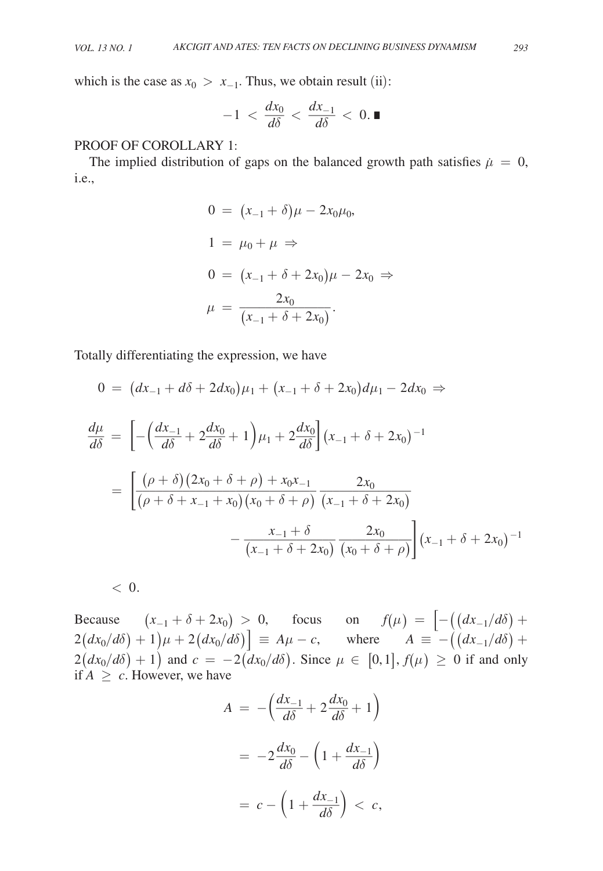which is the case as 
$$
x_0 > x_{-1}
$$
. Thus, we obtain result (ii):  

$$
-1 < \frac{dx_0}{d\delta} < \frac{dx_{-1}}{d\delta} < 0.
$$

# PROOF OF COROLLARY 1:

The implied distribution of gaps on the balanced growth path satisfies  $\mu = 0$ , i.e.,

$$
0 = (x_{-1} + \delta)\mu - 2x_0\mu_0,
$$
  
\n
$$
1 = \mu_0 + \mu \Rightarrow
$$
  
\n
$$
0 = (x_{-1} + \delta + 2x_0)\mu - 2x_0 \Rightarrow
$$
  
\n
$$
\mu = \frac{2x_0}{(x_{-1} + \delta + 2x_0)}.
$$

Totally differentiating the expression, we have

$$
0 = (dx_{-1} + d\delta + 2dx_0)\mu_1 + (x_{-1} + \delta + 2x_0)d\mu_1 - 2dx_0 \Rightarrow
$$
  
\n
$$
\frac{d\mu}{d\delta} = \left[ -\left(\frac{dx_{-1}}{d\delta} + 2\frac{dx_0}{d\delta} + 1\right)\mu_1 + 2\frac{dx_0}{d\delta} \right](x_{-1} + \delta + 2x_0)^{-1}
$$
  
\n
$$
= \left[ \frac{(\rho + \delta)(2x_0 + \delta + \rho) + x_0x_{-1}}{(\rho + \delta + x_{-1} + x_0)(x_0 + \delta + \rho)} \frac{2x_0}{(x_{-1} + \delta + 2x_0)} - \frac{x_{-1} + \delta}{(x_{-1} + \delta + 2x_0)} \frac{2x_0}{(x_0 + \delta + \rho)} \right] (x_{-1} + \delta + 2x_0)^{-1}
$$

 $< 0.$ 

Because  $(x_{-1} + \delta + 2x_0) > 0$ , focus on  $f(\mu) = |-(\frac{dx_{-1}}{d\delta}) +$  $2(dx_0/d\delta) + 1\mu + 2(dx_0/d\delta)$  =  $A\mu - c$ , where  $A \equiv -((dx_{-1}/d\delta) +$  $2(dx_0/d\delta) + 1$ ) and  $c = -2(dx_0/d\delta)$ . Since  $\mu \in [0,1]$ ,  $f(\mu) \ge 0$  if and only if  $A \geq c$ . However, we have

if 
$$
A \ge c
$$
. However, we have  
\n
$$
A = -\left(\frac{dx_{-1}}{d\delta} + 2\frac{dx_0}{d\delta} + 1\right)
$$
\n
$$
= -2\frac{dx_0}{d\delta} - \left(1 + \frac{dx_{-1}}{d\delta}\right)
$$
\n
$$
= c - \left(1 + \frac{dx_{-1}}{d\delta}\right) < c,
$$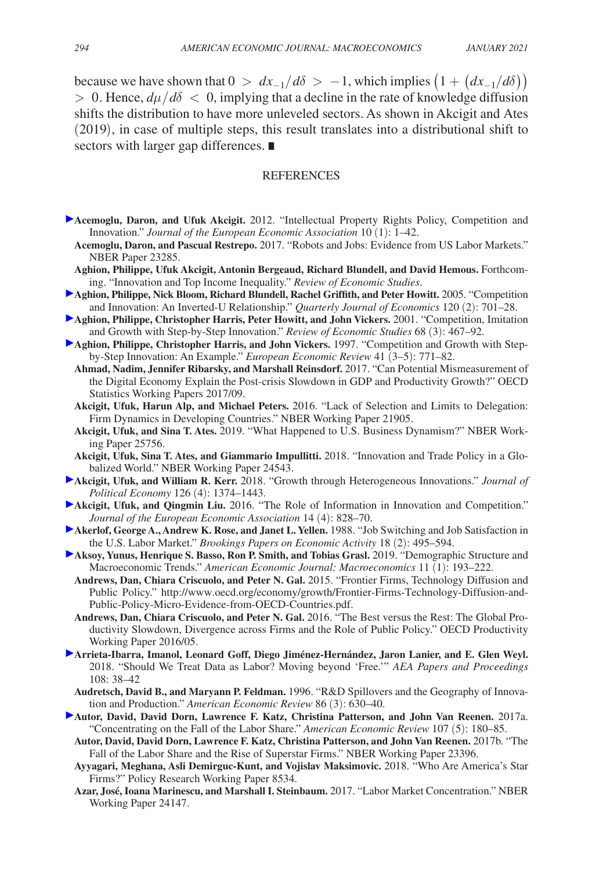because we have shown that  $0 > dx_{-1}/d\delta > -1$ , which implies  $(1 + (dx_{-1}/d\delta))$  $> 0$ . Hence,  $d\mu/d\delta < 0$ , implying that a decline in the rate of knowledge diffusion shifts the distribution to have more unleveled sectors. As shown in Akcigit and Ates (2019), in case of multiple steps, this result translates into a distributional shift to sectors with larger gap differences. ∎

#### **REFERENCES**

- **Acemoglu, Daron, and Ufuk Akcigit.** 2012. "Intellectual Property Rights Policy, Competition and Innovation." *Journal of the European Economic Association* 10 (1): 1–42.
	- **Acemoglu, Daron, and Pascual Restrepo.** 2017. "Robots and Jobs: Evidence from US Labor Markets." NBER Paper 23285.
	- **Aghion, Philippe, Ufuk Akcigit, Antonin Bergeaud, Richard Blundell, and David Hemous.** Forthcoming. "Innovation and Top Income Inequality." *Review of Economic Studies*.
- **Aghion, Philippe, Nick Bloom, Richard Blundell, Rachel Griffith, and Peter Howitt.** 2005. "Competition and Innovation: An Inverted-U Relationship." *Quarterly Journal of Economics* 120 (2): 701–28.
- **Aghion, Philippe, Christopher Harris, Peter Howitt, and John Vickers.** 2001. "Competition, Imitation and Growth with Step-by-Step Innovation." *Review of Economic Studies* 68 (3): 467–92.
- **Aghion, Philippe, Christopher Harris, and John Vickers.** 1997. "Competition and Growth with Stepby-Step Innovation: An Example." *European Economic Review* 41 (3–5): 771–82.
	- **Ahmad, Nadim, Jennifer Ribarsky, and Marshall Reinsdorf.** 2017. "Can Potential Mismeasurement of the Digital Economy Explain the Post-crisis Slowdown in GDP and Productivity Growth?" OECD Statistics Working Papers 2017/09.
	- **Akcigit, Ufuk, Harun Alp, and Michael Peters.** 2016. "Lack of Selection and Limits to Delegation: Firm Dynamics in Developing Countries." NBER Working Paper 21905.
	- **Akcigit, Ufuk, and Sina T. Ates.** 2019. "What Happened to U.S. Business Dynamism?" NBER Working Paper 25756.
	- **Akcigit, Ufuk, Sina T. Ates, and Giammario Impullitti.** 2018. "Innovation and Trade Policy in a Globalized World." NBER Working Paper 24543.
- **Akcigit, Ufuk, and William R. Kerr.** 2018. "Growth through Heterogeneous Innovations." *Journal of Political Economy* 126 (4): 1374–1443.
- **Akcigit, Ufuk, and Qingmin Liu.** 2016. "The Role of Information in Innovation and Competition." *Journal of the European Economic Association* 14 (4): 828–70.
- **Akerlof, George A., Andrew K. Rose, and Janet L. Yellen.** 1988. "Job Switching and Job Satisfaction in the U.S. Labor Market." *Brookings Papers on Economic Activity* 18 (2): 495–594.
- **Aksoy, Yunus, Henrique S. Basso, Ron P. Smith, and Tobias Grasl.** 2019. "Demographic Structure and Macroeconomic Trends." *American Economic Journal: Macroeconomics* 11 (1): 193–222.
	- **Andrews, Dan, Chiara Criscuolo, and Peter N. Gal.** 2015. "Frontier Firms, Technology Diffusion and Public Policy." [http://www.oecd.org/economy/growth/Frontier-Firms-Technology-Diffusion-and-](http://www.oecd.org/economy/growth/Frontier-Firms-Technology-Diffusion-and-Public-Policy-Micro-Evidence-from-OECD-Countries.pdf)[Public-Policy-Micro-Evidence-from-OECD-Countries.pdf.](http://www.oecd.org/economy/growth/Frontier-Firms-Technology-Diffusion-and-Public-Policy-Micro-Evidence-from-OECD-Countries.pdf)
	- **Andrews, Dan, Chiara Criscuolo, and Peter N. Gal.** 2016. "The Best versus the Rest: The Global Productivity Slowdown, Divergence across Firms and the Role of Public Policy." OECD Productivity Working Paper 2016/05.
- **Arrieta-Ibarra, Imanol, Leonard Goff, Diego Jiménez-Hernández, Jaron Lanier, and E. Glen Weyl.**  2018. "Should We Treat Data as Labor? Moving beyond 'Free.'" *AEA Papers and Proceedings* 108: 38–42
	- **Audretsch, David B., and Maryann P. Feldman.** 1996. "R&D Spillovers and the Geography of Innovation and Production." *American Economic Review* 86 (3): 630–40.
- **Autor, David, David Dorn, Lawrence F. Katz, Christina Patterson, and John Van Reenen.** 2017a. "Concentrating on the Fall of the Labor Share." *American Economic Review* 107 (5): 180–85.
	- **Autor, David, David Dorn, Lawrence F. Katz, Christina Patterson, and John Van Reenen.** 2017b. "The Fall of the Labor Share and the Rise of Superstar Firms." NBER Working Paper 23396.
	- **Ayyagari, Meghana, Asli Demirguc-Kunt, and Vojislav Maksimovic.** 2018. "Who Are America's Star Firms?" Policy Research Working Paper 8534.
	- **Azar, José, Ioana Marinescu, and Marshall I. Steinbaum.** 2017. "Labor Market Concentration." NBER Working Paper 24147.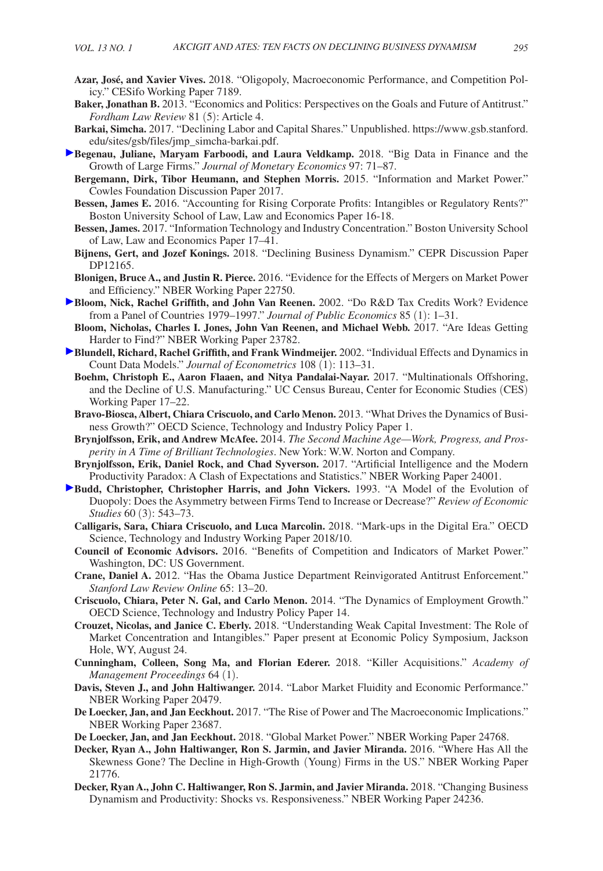- **Azar, José, and Xavier Vives.** 2018. "Oligopoly, Macroeconomic Performance, and Competition Policy." CESifo Working Paper 7189.
- **Baker, Jonathan B.** 2013. "Economics and Politics: Perspectives on the Goals and Future of Antitrust." *Fordham Law Review* 81 (5): Article 4.
- **Barkai, Simcha.** 2017. "Declining Labor and Capital Shares." Unpublished. [https://www.gsb.stanford.](https://www.gsb.stanford.edu/sites/gsb/files/jmp_simcha-barkai.pdf) [edu/sites/gsb/files/jmp\\_simcha-barkai.pdf.](https://www.gsb.stanford.edu/sites/gsb/files/jmp_simcha-barkai.pdf)
- **Begenau, Juliane, Maryam Farboodi, and Laura Veldkamp.** 2018. "Big Data in Finance and the Growth of Large Firms." *Journal of Monetary Economics* 97: 71–87.
	- **Bergemann, Dirk, Tibor Heumann, and Stephen Morris.** 2015. "Information and Market Power." Cowles Foundation Discussion Paper 2017.
	- **Bessen, James E.** 2016. "Accounting for Rising Corporate Profits: Intangibles or Regulatory Rents?" Boston University School of Law, Law and Economics Paper 16-18.
	- **Bessen, James.** 2017. "Information Technology and Industry Concentration." Boston University School of Law, Law and Economics Paper 17–41.
	- **Bijnens, Gert, and Jozef Konings.** 2018. "Declining Business Dynamism." CEPR Discussion Paper DP12165.
	- **Blonigen, Bruce A., and Justin R. Pierce.** 2016. "Evidence for the Effects of Mergers on Market Power and Efficiency." NBER Working Paper 22750.
- **Bloom, Nick, Rachel Griffith, and John Van Reenen.** 2002. "Do R&D Tax Credits Work? Evidence from a Panel of Countries 1979–1997." *Journal of Public Economics* 85 (1): 1–31.
- **Bloom, Nicholas, Charles I. Jones, John Van Reenen, and Michael Webb.** 2017. "Are Ideas Getting Harder to Find?" NBER Working Paper 23782.
- **Blundell, Richard, Rachel Griffith, and Frank Windmeijer.** 2002. "Individual Effects and Dynamics in Count Data Models." *Journal of Econometrics* 108 (1): 113–31.
	- **Boehm, Christoph E., Aaron Flaaen, and Nitya Pandalai-Nayar.** 2017. "Multinationals Offshoring, and the Decline of U.S. Manufacturing." UC Census Bureau, Center for Economic Studies (CES) Working Paper 17–22.
	- **Bravo-Biosca, Albert, Chiara Criscuolo, and Carlo Menon.** 2013. "What Drives the Dynamics of Business Growth?" OECD Science, Technology and Industry Policy Paper 1.
	- **Brynjolfsson, Erik, and Andrew McAfee.** 2014. *The Second Machine Age—Work, Progress, and Prosperity in A Time of Brilliant Technologies*. New York: W.W. Norton and Company.
- **Brynjolfsson, Erik, Daniel Rock, and Chad Syverson.** 2017. "Artificial Intelligence and the Modern Productivity Paradox: A Clash of Expectations and Statistics." NBER Working Paper 24001.
- **Budd, Christopher, Christopher Harris, and John Vickers.** 1993. "A Model of the Evolution of Duopoly: Does the Asymmetry between Firms Tend to Increase or Decrease?" *Review of Economic Studies* 60 (3): 543–73.
	- **Calligaris, Sara, Chiara Criscuolo, and Luca Marcolin.** 2018. "Mark-ups in the Digital Era." OECD Science, Technology and Industry Working Paper 2018/10.
	- **Council of Economic Advisors.** 2016. "Benefits of Competition and Indicators of Market Power." Washington, DC: US Government.
	- **Crane, Daniel A.** 2012. "Has the Obama Justice Department Reinvigorated Antitrust Enforcement." *Stanford Law Review Online* 65: 13–20.
	- **Criscuolo, Chiara, Peter N. Gal, and Carlo Menon.** 2014. "The Dynamics of Employment Growth." OECD Science, Technology and Industry Policy Paper 14.
	- **Crouzet, Nicolas, and Janice C. Eberly.** 2018. "Understanding Weak Capital Investment: The Role of Market Concentration and Intangibles." Paper present at Economic Policy Symposium, Jackson Hole, WY, August 24.
	- **Cunningham, Colleen, Song Ma, and Florian Ederer.** 2018. "Killer Acquisitions." *Academy of Management Proceedings* 64 (1).
	- **Davis, Steven J., and John Haltiwanger.** 2014. "Labor Market Fluidity and Economic Performance." NBER Working Paper 20479.
	- **De Loecker, Jan, and Jan Eeckhout.** 2017. "The Rise of Power and The Macroeconomic Implications." NBER Working Paper 23687.
	- **De Loecker, Jan, and Jan Eeckhout.** 2018. "Global Market Power." NBER Working Paper 24768.
	- **Decker, Ryan A., John Haltiwanger, Ron S. Jarmin, and Javier Miranda.** 2016. "Where Has All the Skewness Gone? The Decline in High-Growth (Young) Firms in the US." NBER Working Paper 21776.
	- **Decker, Ryan A., John C. Haltiwanger, Ron S. Jarmin, and Javier Miranda.** 2018. "Changing Business Dynamism and Productivity: Shocks vs. Responsiveness." NBER Working Paper 24236.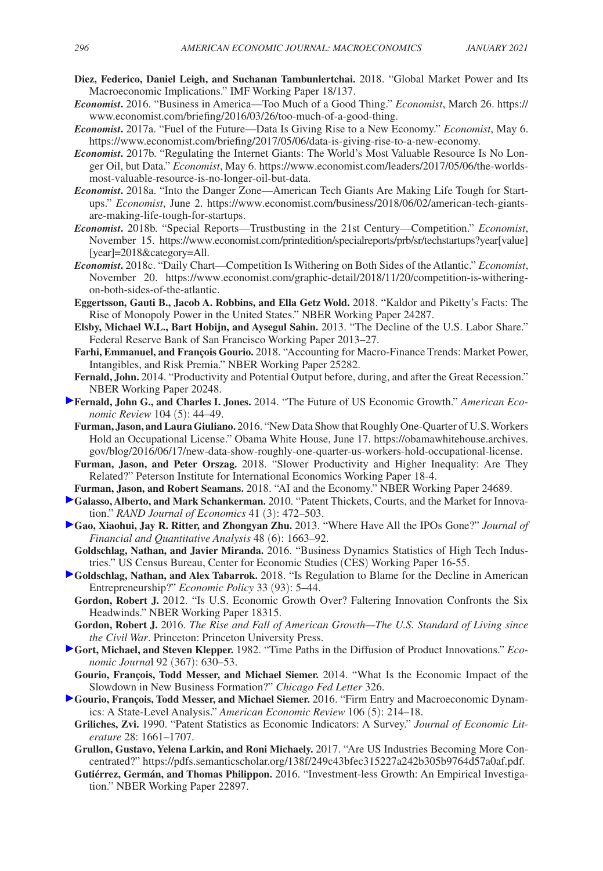- **Diez, Federico, Daniel Leigh, and Suchanan Tambunlertchai.** 2018. "Global Market Power and Its Macroeconomic Implications." IMF Working Paper 18/137.
- *Economist***.** 2016. "Business in America—Too Much of a Good Thing." *Economist*, March 26. [https://](https://www.economist.com/briefing/2016/03/26/too-much-of-a-good-thing) [www.economist.com/briefing/2016/03/26/too-much-of-a-good-thing.](https://www.economist.com/briefing/2016/03/26/too-much-of-a-good-thing)
- *Economist***.** 2017a. "Fuel of the Future—Data Is Giving Rise to a New Economy." *Economist*, May 6. <https://www.economist.com/briefing/2017/05/06/data-is-giving-rise-to-a-new-economy>.
- *Economist***.** 2017b. "Regulating the Internet Giants: The World's Most Valuable Resource Is No Longer Oil, but Data." *Economist*, May 6. [https://www.economist.com/leaders/2017/05/06/the-worlds](https://www.economist.com/leaders/2017/05/06/the-worlds-most-valuable-resource-is-no-longer-oil-but-data)[most-valuable-resource-is-no-longer-oil-but-data](https://www.economist.com/leaders/2017/05/06/the-worlds-most-valuable-resource-is-no-longer-oil-but-data).
- *Economist***.** 2018a. "Into the Danger Zone—American Tech Giants Are Making Life Tough for Startups." *Economist*, June 2. [https://www.economist.com/business/2018/06/02/american-tech-giants](https://www.economist.com/business/2018/06/02/american-tech-giants-are-making-life-tough-for-startups)[are-making-life-tough-for-startups.](https://www.economist.com/business/2018/06/02/american-tech-giants-are-making-life-tough-for-startups)
- *Economist***.** 2018b. "Special Reports—Trustbusting in the 21st Century—Competition." *Economist*, [November 15. https://www.economist.com/printedition/specialreports/prb/sr/techstartups?year\[value\]](https://www.economist.com/printedition/specialreports/prb/sr/techstartups?year[value[year]=2018&category=All) [year]=2018&category=All.
- *Economist***.** 2018c. "Daily Chart—Competition Is Withering on Both Sides of the Atlantic." *Economist*, November 20. [https://www.economist.com/graphic-detail/2018/11/20/competition-is-withering](https://www.economist.com/graphic-detail/2018/11/20/competition-is-withering-on-both-sides-of-the-atlantic)[on-both-sides-of-the-atlantic.](https://www.economist.com/graphic-detail/2018/11/20/competition-is-withering-on-both-sides-of-the-atlantic)
- **Eggertsson, Gauti B., Jacob A. Robbins, and Ella Getz Wold.** 2018. "Kaldor and Piketty's Facts: The Rise of Monopoly Power in the United States." NBER Working Paper 24287.
- **Elsby, Michael W.L., Bart Hobijn, and Aysegul Sahin.** 2013. "The Decline of the U.S. Labor Share." Federal Reserve Bank of San Francisco Working Paper 2013–27.
- **Farhi, Emmanuel, and François Gourio.** 2018. "Accounting for Macro-Finance Trends: Market Power, Intangibles, and Risk Premia." NBER Working Paper 25282.
- **Fernald, John.** 2014. "Productivity and Potential Output before, during, and after the Great Recession." NBER Working Paper 20248.
- **Fernald, John G., and Charles I. Jones.** 2014. "The Future of US Economic Growth." *American Economic Review* 104 (5): 44–49.
- **Furman, Jason, and Laura Giuliano.** 2016. "New Data Show that Roughly One-Quarter of U.S. Workers Hold an Occupational License." Obama White House, June 17. [https://obamawhitehouse.archives.](https://obamawhitehouse.archives.gov/blog/2016/06/17/new-data-show-roughly-one-quarter-us-workers-hold-occupational-license) [gov/blog/2016/06/17/new-data-show-roughly-one-quarter-us-workers-hold-occupational-license](https://obamawhitehouse.archives.gov/blog/2016/06/17/new-data-show-roughly-one-quarter-us-workers-hold-occupational-license).
- **Furman, Jason, and Peter Orszag.** 2018. "Slower Productivity and Higher Inequality: Are They Related?" Peterson Institute for International Economics Working Paper 18-4.
- **Furman, Jason, and Robert Seamans.** 2018. "AI and the Economy." NBER Working Paper 24689.
- **Galasso, Alberto, and Mark Schankerman.** 2010. "Patent Thickets, Courts, and the Market for Innovation." *RAND Journal of Economics* 41 (3): 472–503.
- **Gao, Xiaohui, Jay R. Ritter, and Zhongyan Zhu.** 2013. "Where Have All the IPOs Gone?" *Journal of Financial and Quantitative Analysis* 48 (6): 1663–92.
- **Goldschlag, Nathan, and Javier Miranda.** 2016. "Business Dynamics Statistics of High Tech Industries." US Census Bureau, Center for Economic Studies (CES) Working Paper 16-55.
- **Goldschlag, Nathan, and Alex Tabarrok.** 2018. "Is Regulation to Blame for the Decline in American Entrepreneurship?" *Economic Policy* 33 (93): 5–44.
- **Gordon, Robert J.** 2012. "Is U.S. Economic Growth Over? Faltering Innovation Confronts the Six Headwinds." NBER Working Paper 18315.
- **Gordon, Robert J.** 2016. *The Rise and Fall of American Growth—The U.S. Standard of Living since the Civil War*. Princeton: Princeton University Press.
- **Gort, Michael, and Steven Klepper.** 1982. "Time Paths in the Diffusion of Product Innovations." *Economic Journa*l 92 (367): 630–53.
- **Gourio, François, Todd Messer, and Michael Siemer.** 2014. "What Is the Economic Impact of the Slowdown in New Business Formation?" *Chicago Fed Letter* 326.
- **Gourio, François, Todd Messer, and Michael Siemer.** 2016. "Firm Entry and Macroeconomic Dynamics: A State-Level Analysis." *American Economic Review* 106 (5): 214–18.
	- **Griliches, Zvi.** 1990. "Patent Statistics as Economic Indicators: A Survey." *Journal of Economic Literature* 28: 1661–1707.
	- **Grullon, Gustavo, Yelena Larkin, and Roni Michaely.** 2017. "Are US Industries Becoming More Concentrated?"<https://pdfs.semanticscholar.org/138f/249c43bfec315227a242b305b9764d57a0af.pdf>.
	- **Gutiérrez, Germán, and Thomas Philippon.** 2016. "Investment-less Growth: An Empirical Investigation." NBER Working Paper 22897.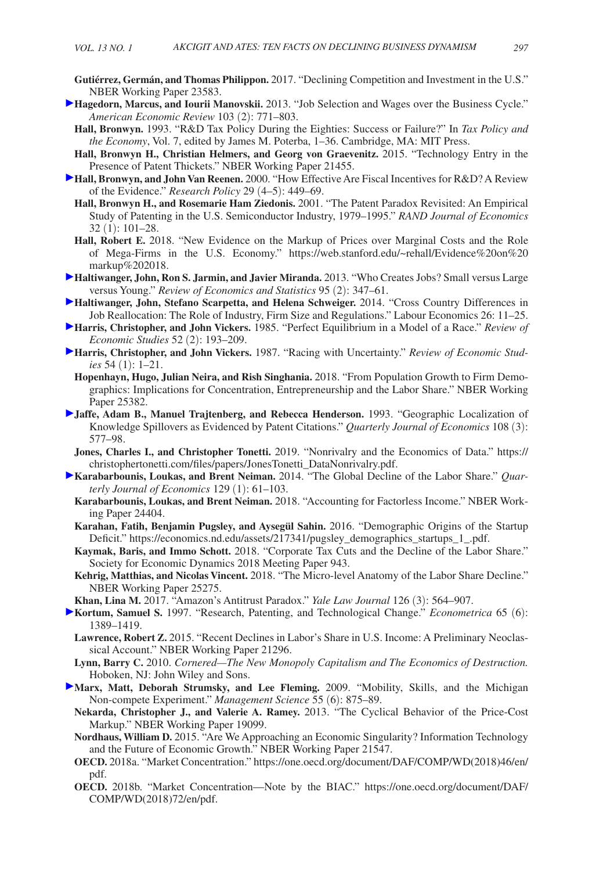- **Gutiérrez, Germán, and Thomas Philippon.** 2017. "Declining Competition and Investment in the U.S." NBER Working Paper 23583.
- **Hagedorn, Marcus, and Iourii Manovskii.** 2013. "Job Selection and Wages over the Business Cycle." *American Economic Review* 103 (2): 771–803.
	- **Hall, Bronwyn.** 1993. "R&D Tax Policy During the Eighties: Success or Failure?" In *Tax Policy and the Economy*, Vol. 7, edited by James M. Poterba, 1–36. Cambridge, MA: MIT Press.
- **Hall, Bronwyn H., Christian Helmers, and Georg von Graevenitz.** 2015. "Technology Entry in the Presence of Patent Thickets." NBER Working Paper 21455.
- **Hall, Bronwyn, and John Van Reenen.** 2000. "How Effective Are Fiscal Incentives for R&D? A Review of the Evidence." *Research Policy* 29 (4–5): 449–69.
	- **Hall, Bronwyn H., and Rosemarie Ham Ziedonis.** 2001. "The Patent Paradox Revisited: An Empirical Study of Patenting in the U.S. Semiconductor Industry, 1979–1995." *RAND Journal of Economics*  32 (1): 101–28.
	- **Hall, Robert E.** 2018. "New Evidence on the Markup of Prices over Marginal Costs and the Role of Mega-Firms in the U.S. Economy." [https://web.stanford.edu/~rehall/Evidence%20on%20](https://web.stanford.edu/~rehall/Evidence%20on%20markup%202018) [markup%202018.](https://web.stanford.edu/~rehall/Evidence%20on%20markup%202018)
- **Haltiwanger, John, Ron S. Jarmin, and Javier Miranda.** 2013. "Who Creates Jobs? Small versus Large versus Young." *Review of Economics and Statistics* 95 (2): 347–61.
- **Haltiwanger, John, Stefano Scarpetta, and Helena Schweiger.** 2014. "Cross Country Differences in Job Reallocation: The Role of Industry, Firm Size and Regulations." Labour Economics 26: 11–25.
- **Harris, Christopher, and John Vickers.** 1985. "Perfect Equilibrium in a Model of a Race." *Review of Economic Studies* 52 (2): 193–209.
- **Harris, Christopher, and John Vickers.** 1987. "Racing with Uncertainty." *Review of Economic Studies* 54 (1): 1–21.
- **Hopenhayn, Hugo, Julian Neira, and Rish Singhania.** 2018. "From Population Growth to Firm Demographics: Implications for Concentration, Entrepreneurship and the Labor Share." NBER Working Paper 25382.
- **Jaffe, Adam B., Manuel Trajtenberg, and Rebecca Henderson.** 1993. "Geographic Localization of Knowledge Spillovers as Evidenced by Patent Citations." *Quarterly Journal of Economics* 108 (3): 577–98.
- **Jones, Charles I., and Christopher Tonetti.** 2019. "Nonrivalry and the Economics of Data." [https://](https://christophertonetti.com/files/papers/JonesTonetti_DataNonrivalry.pdf) [christophertonetti.com/files/papers/JonesTonetti\\_DataNonrivalry.pdf.](https://christophertonetti.com/files/papers/JonesTonetti_DataNonrivalry.pdf)
- **[K](http://pubs.aeaweb.org/action/showLinks?crossref=10.1093%2Fqje%2Fqjt032&citationId=p_92)arabarbounis, Loukas, and Brent Neiman.** 2014. "The Global Decline of the Labor Share." *Quarterly Journal of Economics* 129 (1): 61–103.
- **Karabarbounis, Loukas, and Brent Neiman.** 2018. "Accounting for Factorless Income." NBER Working Paper 24404.
- **Karahan, Fatih, Benjamin Pugsley, and Aysegül Sahin.** 2016. "Demographic Origins of the Startup Deficit." [https://economics.nd.edu/assets/217341/pugsley\\_demographics\\_startups\\_1\\_.pdf.](https://economics.nd.edu/assets/217341/pugsley_demographics_startups_1_.pdf)
- **Kaymak, Baris, and Immo Schott.** 2018. "Corporate Tax Cuts and the Decline of the Labor Share." Society for Economic Dynamics 2018 Meeting Paper 943.
- **Kehrig, Matthias, and Nicolas Vincent.** 2018. "The Micro-level Anatomy of the Labor Share Decline." NBER Working Paper 25275.
- **Khan, Lina M.** 2017. "Amazon's Antitrust Paradox." *Yale Law Journal* 126 (3): 564–907.
- **[K](http://pubs.aeaweb.org/action/showLinks?crossref=10.2307%2F2171741&citationId=p_98)ortum, Samuel S.** 1997. "Research, Patenting, and Technological Change." *Econometrica* 65 (6): 1389–1419.
- **Lawrence, Robert Z.** 2015. "Recent Declines in Labor's Share in U.S. Income: A Preliminary Neoclassical Account." NBER Working Paper 21296.
- **Lynn, Barry C.** 2010. *Cornered—The New Monopoly Capitalism and The Economics of Destruction.*  Hoboken, NJ: John Wiley and Sons.
- **Marx, Matt, Deborah Strumsky, and Lee Fleming.** 2009. "Mobility, Skills, and the Michigan Non-compete Experiment." *Management Science* 55 (6): 875–89.
- **Nekarda, Christopher J., and Valerie A. Ramey.** 2013. "The Cyclical Behavior of the Price-Cost Markup." NBER Working Paper 19099.
- **Nordhaus, William D.** 2015. "Are We Approaching an Economic Singularity? Information Technology and the Future of Economic Growth." NBER Working Paper 21547.
- **OECD.** 2018a. "Market Concentration." [https://one.oecd.org/document/DAF/COMP/WD\(2018\)46/en/](https://one.oecd.org/document/DAF/COMP/WD(2018)46/en/pdf) [pdf.](https://one.oecd.org/document/DAF/COMP/WD(2018)46/en/pdf)
- **OECD.** 2018b. "Market Concentration—Note by the BIAC." [https://one.oecd.org/document/DAF/](https://one.oecd.org/document/DAF/COMP/WD(2018)72/en/pdf) [COMP/WD\(2018\)72/en/pdf](https://one.oecd.org/document/DAF/COMP/WD(2018)72/en/pdf).